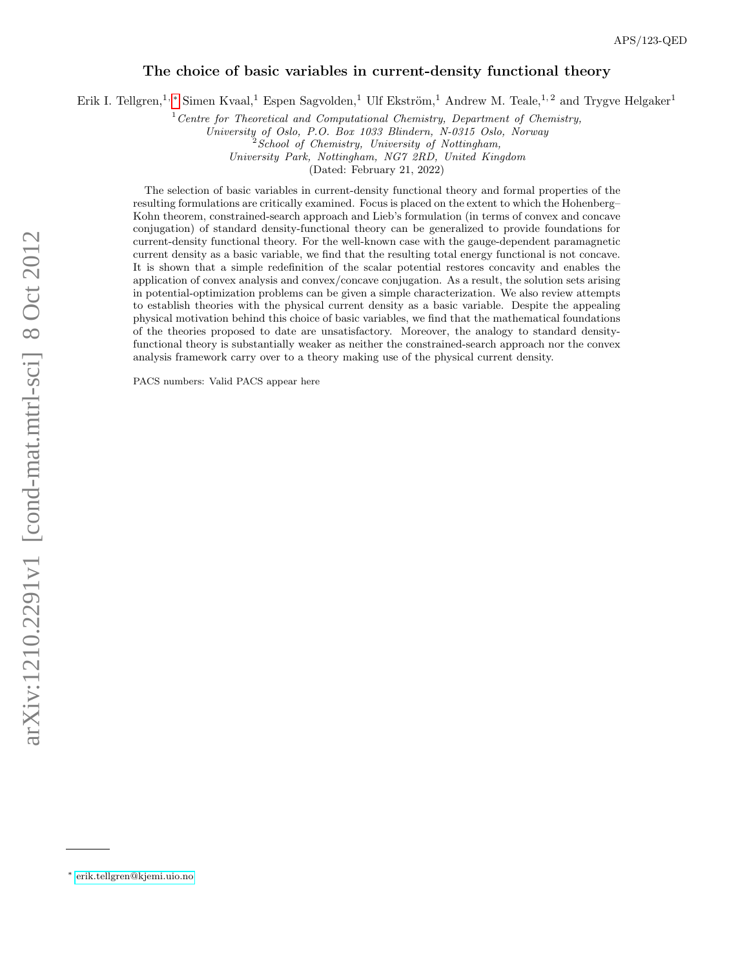# The choice of basic variables in current-density functional theory

Erik I. Tellgren,<sup>1, [∗](#page-0-0)</sup> Simen Kvaal,<sup>1</sup> Espen Sagvolden,<sup>1</sup> Ulf Ekström,<sup>1</sup> Andrew M. Teale,<sup>1,2</sup> and Trygve Helgaker<sup>1</sup>

 $1$ <sup>1</sup> Centre for Theoretical and Computational Chemistry, Department of Chemistry,

University of Oslo, P.O. Box 1033 Blindern, N-0315 Oslo, Norway

 $2^{2}$ School of Chemistry, University of Nottingham,

University Park, Nottingham, NG7 2RD, United Kingdom

(Dated: February 21, 2022)

The selection of basic variables in current-density functional theory and formal properties of the resulting formulations are critically examined. Focus is placed on the extent to which the Hohenberg– Kohn theorem, constrained-search approach and Lieb's formulation (in terms of convex and concave conjugation) of standard density-functional theory can be generalized to provide foundations for current-density functional theory. For the well-known case with the gauge-dependent paramagnetic current density as a basic variable, we find that the resulting total energy functional is not concave. It is shown that a simple redefinition of the scalar potential restores concavity and enables the application of convex analysis and convex/concave conjugation. As a result, the solution sets arising in potential-optimization problems can be given a simple characterization. We also review attempts to establish theories with the physical current density as a basic variable. Despite the appealing physical motivation behind this choice of basic variables, we find that the mathematical foundations of the theories proposed to date are unsatisfactory. Moreover, the analogy to standard densityfunctional theory is substantially weaker as neither the constrained-search approach nor the convex analysis framework carry over to a theory making use of the physical current density.

PACS numbers: Valid PACS appear here

<span id="page-0-0"></span><sup>∗</sup> [erik.tellgren@kjemi.uio.no](mailto:erik.tellgren@kjemi.uio.no)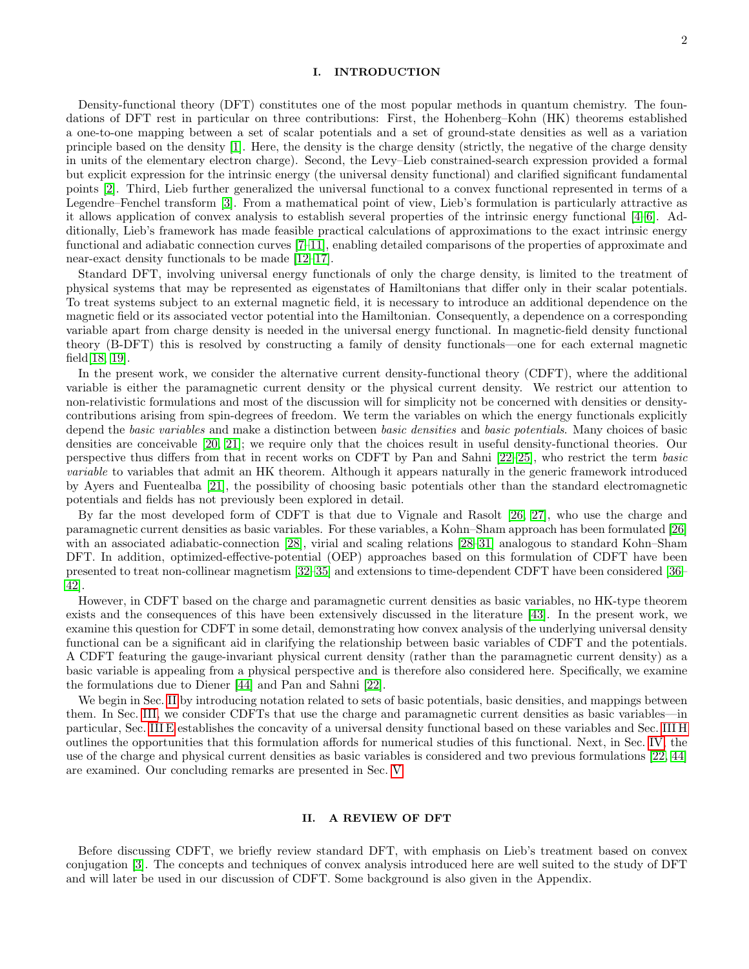### I. INTRODUCTION

Density-functional theory (DFT) constitutes one of the most popular methods in quantum chemistry. The foundations of DFT rest in particular on three contributions: First, the Hohenberg–Kohn (HK) theorems established a one-to-one mapping between a set of scalar potentials and a set of ground-state densities as well as a variation principle based on the density [\[1\]](#page-17-0). Here, the density is the charge density (strictly, the negative of the charge density in units of the elementary electron charge). Second, the Levy–Lieb constrained-search expression provided a formal but explicit expression for the intrinsic energy (the universal density functional) and clarified significant fundamental points [\[2\]](#page-17-1). Third, Lieb further generalized the universal functional to a convex functional represented in terms of a Legendre–Fenchel transform [\[3\]](#page-17-2). From a mathematical point of view, Lieb's formulation is particularly attractive as it allows application of convex analysis to establish several properties of the intrinsic energy functional [\[4–](#page-17-3)[6\]](#page-17-4). Additionally, Lieb's framework has made feasible practical calculations of approximations to the exact intrinsic energy functional and adiabatic connection curves [\[7–](#page-17-5)[11\]](#page-17-6), enabling detailed comparisons of the properties of approximate and near-exact density functionals to be made [\[12–](#page-17-7)[17\]](#page-18-0).

Standard DFT, involving universal energy functionals of only the charge density, is limited to the treatment of physical systems that may be represented as eigenstates of Hamiltonians that differ only in their scalar potentials. To treat systems subject to an external magnetic field, it is necessary to introduce an additional dependence on the magnetic field or its associated vector potential into the Hamiltonian. Consequently, a dependence on a corresponding variable apart from charge density is needed in the universal energy functional. In magnetic-field density functional theory (B-DFT) this is resolved by constructing a family of density functionals—one for each external magnetic field[\[18,](#page-18-1) [19\]](#page-18-2).

In the present work, we consider the alternative current density-functional theory (CDFT), where the additional variable is either the paramagnetic current density or the physical current density. We restrict our attention to non-relativistic formulations and most of the discussion will for simplicity not be concerned with densities or densitycontributions arising from spin-degrees of freedom. We term the variables on which the energy functionals explicitly depend the basic variables and make a distinction between basic densities and basic potentials. Many choices of basic densities are conceivable [\[20,](#page-18-3) [21\]](#page-18-4); we require only that the choices result in useful density-functional theories. Our perspective thus differs from that in recent works on CDFT by Pan and Sahni [\[22–](#page-18-5)[25\]](#page-18-6), who restrict the term basic *variable* to variables that admit an HK theorem. Although it appears naturally in the generic framework introduced by Ayers and Fuentealba [\[21\]](#page-18-4), the possibility of choosing basic potentials other than the standard electromagnetic potentials and fields has not previously been explored in detail.

By far the most developed form of CDFT is that due to Vignale and Rasolt [\[26,](#page-18-7) [27\]](#page-18-8), who use the charge and paramagnetic current densities as basic variables. For these variables, a Kohn–Sham approach has been formulated [\[26\]](#page-18-7) with an associated adiabatic-connection [\[28\]](#page-18-9), virial and scaling relations [\[28–](#page-18-9)[31\]](#page-18-10) analogous to standard Kohn–Sham DFT. In addition, optimized-effective-potential (OEP) approaches based on this formulation of CDFT have been presented to treat non-collinear magnetism [\[32](#page-18-11)[–35\]](#page-18-12) and extensions to time-dependent CDFT have been considered [\[36–](#page-18-13) [42\]](#page-18-14).

However, in CDFT based on the charge and paramagnetic current densities as basic variables, no HK-type theorem exists and the consequences of this have been extensively discussed in the literature [\[43\]](#page-18-15). In the present work, we examine this question for CDFT in some detail, demonstrating how convex analysis of the underlying universal density functional can be a significant aid in clarifying the relationship between basic variables of CDFT and the potentials. A CDFT featuring the gauge-invariant physical current density (rather than the paramagnetic current density) as a basic variable is appealing from a physical perspective and is therefore also considered here. Specifically, we examine the formulations due to Diener [\[44\]](#page-18-16) and Pan and Sahni [\[22\]](#page-18-5).

We begin in Sec. [II](#page-1-0) by introducing notation related to sets of basic potentials, basic densities, and mappings between them. In Sec. [III,](#page-3-0) we consider CDFTs that use the charge and paramagnetic current densities as basic variables—in particular, Sec. [III E](#page-6-0) establishes the concavity of a universal density functional based on these variables and Sec. [III H](#page-10-0) outlines the opportunities that this formulation affords for numerical studies of this functional. Next, in Sec. [IV,](#page-11-0) the use of the charge and physical current densities as basic variables is considered and two previous formulations [\[22,](#page-18-5) [44\]](#page-18-16) are examined. Our concluding remarks are presented in Sec. [V.](#page-16-0)

## <span id="page-1-0"></span>II. A REVIEW OF DFT

Before discussing CDFT, we briefly review standard DFT, with emphasis on Lieb's treatment based on convex conjugation [\[3\]](#page-17-2). The concepts and techniques of convex analysis introduced here are well suited to the study of DFT and will later be used in our discussion of CDFT. Some background is also given in the Appendix.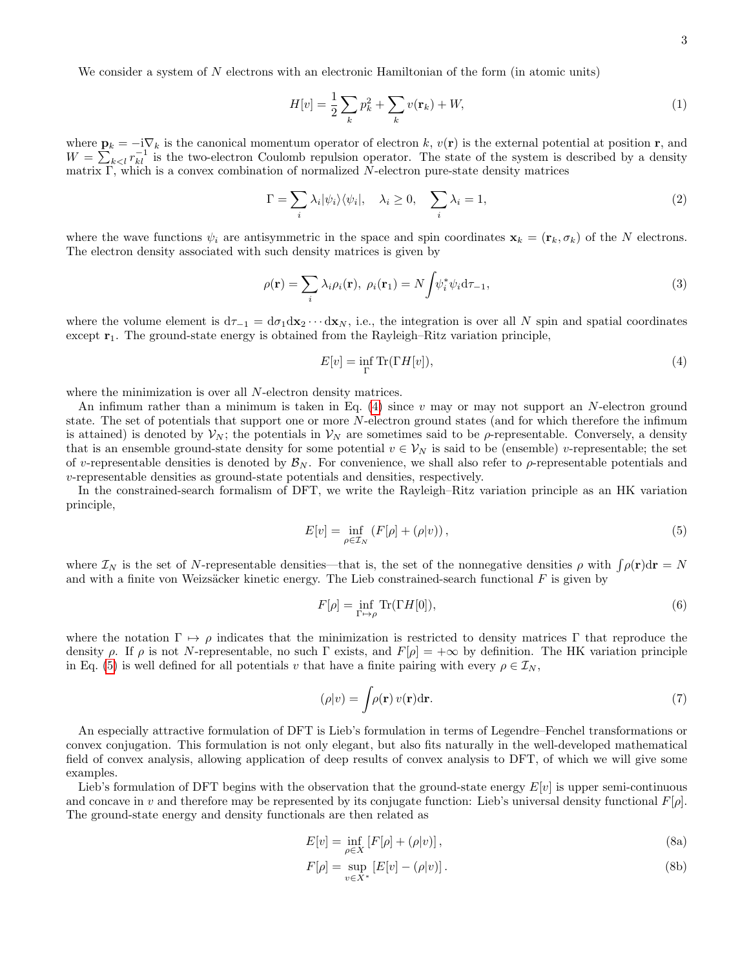We consider a system of N electrons with an electronic Hamiltonian of the form (in atomic units)

<span id="page-2-4"></span>
$$
H[v] = \frac{1}{2} \sum_{k} p_k^2 + \sum_{k} v(\mathbf{r}_k) + W,
$$
\n(1)

where  $\mathbf{p}_k = -i\nabla_k$  is the canonical momentum operator of electron k,  $v(\mathbf{r})$  is the external potential at position r, and  $W = \sum_{k \leq l} r_{kl}^{-1}$  is the two-electron Coulomb repulsion operator. The state of the system is described by a density matrix  $\Gamma$ , which is a convex combination of normalized N-electron pure-state density matrices

<span id="page-2-5"></span>
$$
\Gamma = \sum_{i} \lambda_i |\psi_i\rangle\langle\psi_i|, \quad \lambda_i \ge 0, \quad \sum_{i} \lambda_i = 1,
$$
\n(2)

where the wave functions  $\psi_i$  are antisymmetric in the space and spin coordinates  $\mathbf{x}_k = (\mathbf{r}_k, \sigma_k)$  of the N electrons. The electron density associated with such density matrices is given by

<span id="page-2-6"></span>
$$
\rho(\mathbf{r}) = \sum_{i} \lambda_i \rho_i(\mathbf{r}), \ \rho_i(\mathbf{r}_1) = N \int \psi_i^* \psi_i d\tau_{-1}, \tag{3}
$$

where the volume element is  $d\tau_{-1} = d\sigma_1 d\mathbf{x}_2 \cdots d\mathbf{x}_N$ , i.e., the integration is over all N spin and spatial coordinates except  $r_1$ . The ground-state energy is obtained from the Rayleigh–Ritz variation principle,

<span id="page-2-0"></span>
$$
E[v] = \inf_{\Gamma} \text{Tr}(\Gamma H[v]),\tag{4}
$$

where the minimization is over all N-electron density matrices.

An infimum rather than a minimum is taken in Eq. [\(4\)](#page-2-0) since v may or may not support an N-electron ground state. The set of potentials that support one or more N-electron ground states (and for which therefore the infimum is attained) is denoted by  $\mathcal{V}_N$ ; the potentials in  $\mathcal{V}_N$  are sometimes said to be  $\rho$ -representable. Conversely, a density that is an ensemble ground-state density for some potential  $v \in V_N$  is said to be (ensemble) v-representable; the set of v-representable densities is denoted by  $\mathcal{B}_N$ . For convenience, we shall also refer to  $\rho$ -representable potentials and v-representable densities as ground-state potentials and densities, respectively.

In the constrained-search formalism of DFT, we write the Rayleigh–Ritz variation principle as an HK variation principle,

<span id="page-2-1"></span>
$$
E[v] = \inf_{\rho \in \mathcal{I}_N} \left( F[\rho] + (\rho|v) \right),\tag{5}
$$

where  $\mathcal{I}_N$  is the set of N-representable densities—that is, the set of the nonnegative densities  $\rho$  with  $\int \rho(\mathbf{r})d\mathbf{r} = N$ and with a finite von Weizsäcker kinetic energy. The Lieb constrained-search functional  $F$  is given by

<span id="page-2-7"></span>
$$
F[\rho] = \inf_{\Gamma \mapsto \rho} \text{Tr}(\Gamma H[0]),\tag{6}
$$

where the notation  $\Gamma \mapsto \rho$  indicates that the minimization is restricted to density matrices Γ that reproduce the density  $\rho$ . If  $\rho$  is not N-representable, no such  $\Gamma$  exists, and  $F[\rho] = +\infty$  by definition. The HK variation principle in Eq. [\(5\)](#page-2-1) is well defined for all potentials v that have a finite pairing with every  $\rho \in \mathcal{I}_N$ ,

$$
(\rho|v) = \int \rho(\mathbf{r}) v(\mathbf{r}) d\mathbf{r}.\tag{7}
$$

An especially attractive formulation of DFT is Lieb's formulation in terms of Legendre–Fenchel transformations or convex conjugation. This formulation is not only elegant, but also fits naturally in the well-developed mathematical field of convex analysis, allowing application of deep results of convex analysis to DFT, of which we will give some examples.

Lieb's formulation of DFT begins with the observation that the ground-state energy  $E[v]$  is upper semi-continuous and concave in v and therefore may be represented by its conjugate function: Lieb's universal density functional  $F[\rho]$ . The ground-state energy and density functionals are then related as

<span id="page-2-3"></span>
$$
E[v] = \inf_{\rho \in X} \left[ F[\rho] + (\rho|v) \right],\tag{8a}
$$

<span id="page-2-2"></span>
$$
F[\rho] = \sup_{v \in X^*} \left[ E[v] - (\rho|v) \right]. \tag{8b}
$$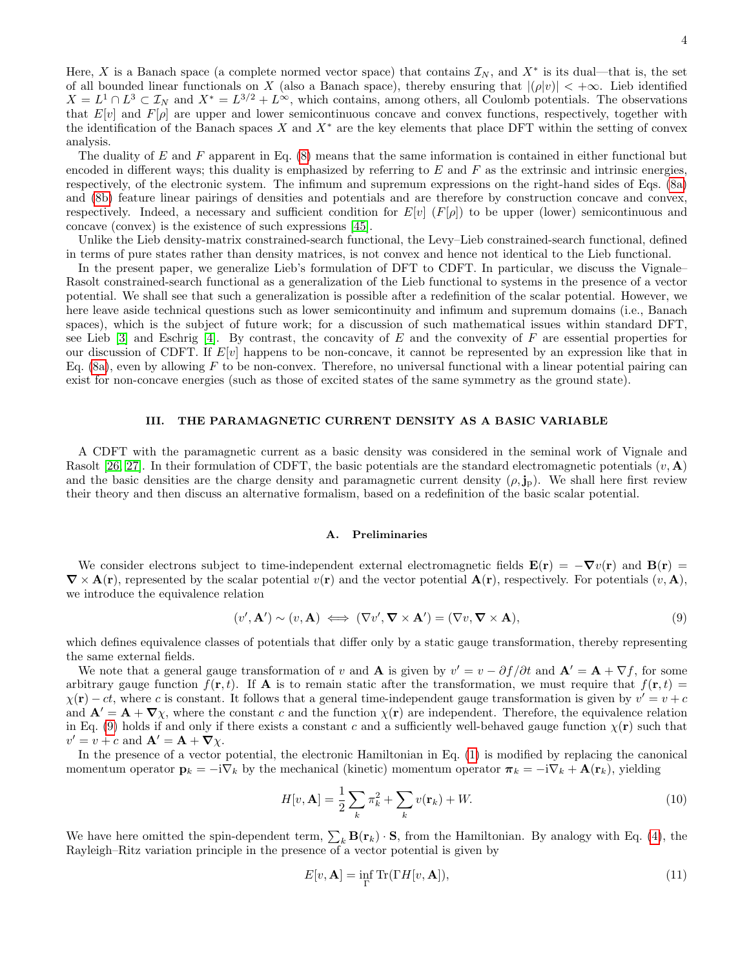Here, X is a Banach space (a complete normed vector space) that contains  $\mathcal{I}_N$ , and  $X^*$  is its dual—that is, the set of all bounded linear functionals on X (also a Banach space), thereby ensuring that  $|(\rho|v)| < +\infty$ . Lieb identified  $X = L^1 \cap L^3 \subset \mathcal{I}_N$  and  $X^* = L^{3/2} + L^{\infty}$ , which contains, among others, all Coulomb potentials. The observations that  $E[v]$  and  $F[\rho]$  are upper and lower semicontinuous concave and convex functions, respectively, together with the identification of the Banach spaces X and  $X^*$  are the key elements that place DFT within the setting of convex analysis.

The duality of  $E$  and  $F$  apparent in Eq. [\(8\)](#page-2-2) means that the same information is contained in either functional but encoded in different ways; this duality is emphasized by referring to  $E$  and  $F$  as the extrinsic and intrinsic energies, respectively, of the electronic system. The infimum and supremum expressions on the right-hand sides of Eqs. [\(8a\)](#page-2-3) and [\(8b\)](#page-2-2) feature linear pairings of densities and potentials and are therefore by construction concave and convex, respectively. Indeed, a necessary and sufficient condition for  $E[v]$  (F[p]) to be upper (lower) semicontinuous and concave (convex) is the existence of such expressions [\[45\]](#page-18-17).

Unlike the Lieb density-matrix constrained-search functional, the Levy–Lieb constrained-search functional, defined in terms of pure states rather than density matrices, is not convex and hence not identical to the Lieb functional.

In the present paper, we generalize Lieb's formulation of DFT to CDFT. In particular, we discuss the Vignale– Rasolt constrained-search functional as a generalization of the Lieb functional to systems in the presence of a vector potential. We shall see that such a generalization is possible after a redefinition of the scalar potential. However, we here leave aside technical questions such as lower semicontinuity and infimum and supremum domains (i.e., Banach spaces), which is the subject of future work; for a discussion of such mathematical issues within standard DFT, see Lieb  $[3]$  and Eschrig  $[4]$ . By contrast, the concavity of E and the convexity of F are essential properties for our discussion of CDFT. If  $E[v]$  happens to be non-concave, it cannot be represented by an expression like that in Eq.  $(8a)$ , even by allowing F to be non-convex. Therefore, no universal functional with a linear potential pairing can exist for non-concave energies (such as those of excited states of the same symmetry as the ground state).

## <span id="page-3-0"></span>III. THE PARAMAGNETIC CURRENT DENSITY AS A BASIC VARIABLE

A CDFT with the paramagnetic current as a basic density was considered in the seminal work of Vignale and Rasolt [\[26,](#page-18-7) [27\]](#page-18-8). In their formulation of CDFT, the basic potentials are the standard electromagnetic potentials  $(v, \mathbf{A})$ and the basic densities are the charge density and paramagnetic current density  $(\rho, \mathbf{j}_p)$ . We shall here first review their theory and then discuss an alternative formalism, based on a redefinition of the basic scalar potential.

#### A. Preliminaries

We consider electrons subject to time-independent external electromagnetic fields  $\mathbf{E}(\mathbf{r}) = -\nabla v(\mathbf{r})$  and  $\mathbf{B}(\mathbf{r}) =$  $\nabla \times \mathbf{A}(\mathbf{r})$ , represented by the scalar potential  $v(\mathbf{r})$  and the vector potential  $\mathbf{A}(\mathbf{r})$ , respectively. For potentials  $(v, \mathbf{A})$ , we introduce the equivalence relation

<span id="page-3-1"></span>
$$
(v', \mathbf{A}') \sim (v, \mathbf{A}) \iff (\nabla v', \nabla \times \mathbf{A}') = (\nabla v, \nabla \times \mathbf{A}),
$$
\n(9)

which defines equivalence classes of potentials that differ only by a static gauge transformation, thereby representing the same external fields.

We note that a general gauge transformation of v and **A** is given by  $v' = v - \partial f / \partial t$  and  $\mathbf{A}' = \mathbf{A} + \nabla f$ , for some arbitrary gauge function  $f(\mathbf{r}, t)$ . If **A** is to remain static after the transformation, we must require that  $f(\mathbf{r}, t) =$  $\chi(\mathbf{r}) - ct$ , where c is constant. It follows that a general time-independent gauge transformation is given by  $v' = v + c$ and  $\mathbf{A}' = \mathbf{A} + \nabla \chi$ , where the constant c and the function  $\chi(\mathbf{r})$  are independent. Therefore, the equivalence relation in Eq. [\(9\)](#page-3-1) holds if and only if there exists a constant c and a sufficiently well-behaved gauge function  $\chi(\mathbf{r})$  such that  $v' = v + c$  and  $\mathbf{A}' = \mathbf{A} + \nabla \chi$ .

In the presence of a vector potential, the electronic Hamiltonian in Eq. [\(1\)](#page-2-4) is modified by replacing the canonical momentum operator  $\mathbf{p}_k = -i\nabla_k$  by the mechanical (kinetic) momentum operator  $\boldsymbol{\pi}_k = -i\nabla_k + \mathbf{A}(\mathbf{r}_k)$ , yielding

<span id="page-3-3"></span>
$$
H[v, \mathbf{A}] = \frac{1}{2} \sum_{k} \pi_k^2 + \sum_{k} v(\mathbf{r}_k) + W.
$$
\n(10)

We have here omitted the spin-dependent term,  $\sum_k \mathbf{B}(\mathbf{r}_k) \cdot \mathbf{S}$ , from the Hamiltonian. By analogy with Eq. [\(4\)](#page-2-0), the Rayleigh–Ritz variation principle in the presence of a vector potential is given by

<span id="page-3-2"></span>
$$
E[v, \mathbf{A}] = \inf_{\Gamma} \text{Tr}(\Gamma H[v, \mathbf{A}]),\tag{11}
$$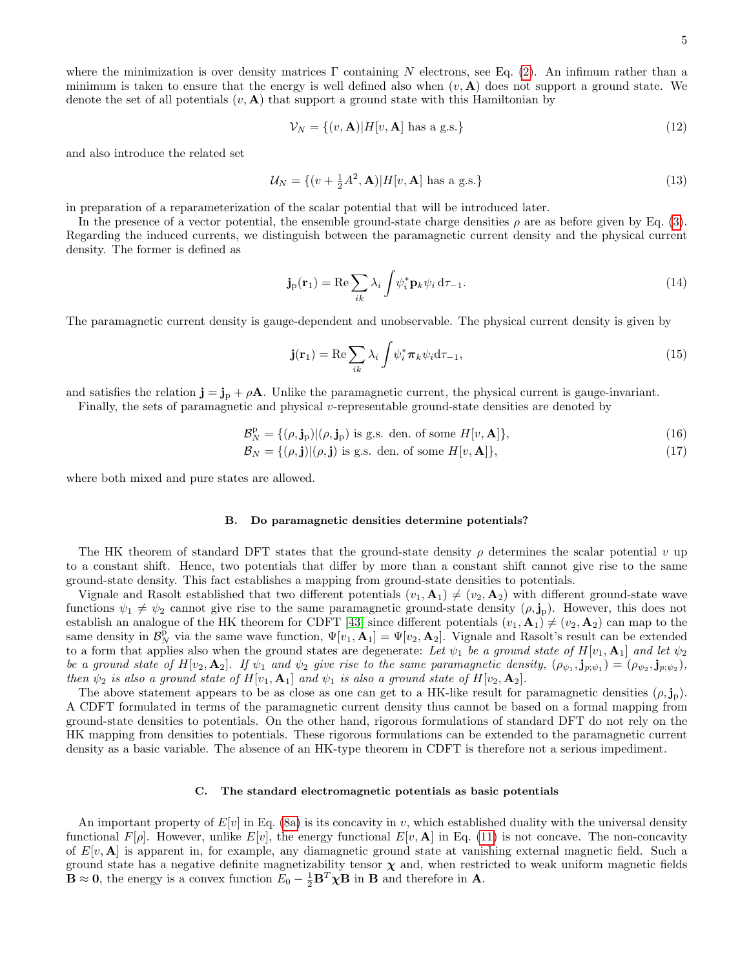where the minimization is over density matrices Γ containing N electrons, see Eq. [\(2\)](#page-2-5). An infimum rather than a minimum is taken to ensure that the energy is well defined also when  $(v, A)$  does not support a ground state. We denote the set of all potentials  $(v, A)$  that support a ground state with this Hamiltonian by

$$
\mathcal{V}_N = \{(v, \mathbf{A}) | H[v, \mathbf{A}] \text{ has a g.s.}\}\tag{12}
$$

and also introduce the related set

$$
\mathcal{U}_N = \{ (v + \frac{1}{2}A^2, \mathbf{A}) | H[v, \mathbf{A}] \text{ has a g.s.} \}
$$
\n
$$
(13)
$$

in preparation of a reparameterization of the scalar potential that will be introduced later.

In the presence of a vector potential, the ensemble ground-state charge densities  $\rho$  are as before given by Eq. [\(3\)](#page-2-6). Regarding the induced currents, we distinguish between the paramagnetic current density and the physical current density. The former is defined as

$$
\mathbf{j}_{\mathrm{p}}(\mathbf{r}_{1}) = \mathrm{Re}\sum_{ik} \lambda_{i} \int \psi_{i}^{*} \mathbf{p}_{k} \psi_{i} d\tau_{-1}.
$$
 (14)

The paramagnetic current density is gauge-dependent and unobservable. The physical current density is given by

$$
\mathbf{j}(\mathbf{r}_1) = \text{Re}\sum_{ik} \lambda_i \int \psi_i^* \pi_k \psi_i d\tau_{-1},\tag{15}
$$

and satisfies the relation  $\mathbf{j} = \mathbf{j}_p + \rho \mathbf{A}$ . Unlike the paramagnetic current, the physical current is gauge-invariant.

Finally, the sets of paramagnetic and physical v-representable ground-state densities are denoted by

$$
\mathcal{B}_N^{\mathbf{p}} = \{(\rho, \mathbf{j}_P)|(\rho, \mathbf{j}_P) \text{ is g.s. den. of some } H[v, \mathbf{A}]\},\tag{16}
$$

$$
\mathcal{B}_N = \{(\rho, \mathbf{j}) | (\rho, \mathbf{j}) \text{ is g.s. den. of some } H[v, \mathbf{A}]\},\tag{17}
$$

where both mixed and pure states are allowed.

#### B. Do paramagnetic densities determine potentials?

The HK theorem of standard DFT states that the ground-state density  $\rho$  determines the scalar potential v up to a constant shift. Hence, two potentials that differ by more than a constant shift cannot give rise to the same ground-state density. This fact establishes a mapping from ground-state densities to potentials.

Vignale and Rasolt established that two different potentials  $(v_1, A_1) \neq (v_2, A_2)$  with different ground-state wave functions  $\psi_1 \neq \psi_2$  cannot give rise to the same paramagnetic ground-state density  $(\rho, \mathbf{j}_p)$ . However, this does not establish an analogue of the HK theorem for CDFT [\[43\]](#page-18-15) since different potentials  $(v_1, \mathbf{A}_1) \neq (v_2, \mathbf{A}_2)$  can map to the same density in  $\mathcal{B}_N^{\bar{p}}$  via the same wave function,  $\Psi[v_1, A_1] = \Psi[v_2, A_2]$ . Vignale and Rasolt's result can be extended to a form that applies also when the ground states are degenerate: Let  $\psi_1$  be a ground state of  $H[v_1, A_1]$  and let  $\psi_2$ be a ground state of  $H[v_2, \mathbf{A}_2]$ . If  $\psi_1$  and  $\psi_2$  give rise to the same paramagnetic density,  $(\rho_{\psi_1}, \mathbf{j}_{p; \psi_1}) = (\rho_{\psi_2}, \mathbf{j}_{p; \psi_2}),$ then  $\psi_2$  is also a ground state of  $H[v_1, \mathbf{A}_1]$  and  $\psi_1$  is also a ground state of  $H[v_2, \mathbf{A}_2]$ .

The above statement appears to be as close as one can get to a HK-like result for paramagnetic densities  $(\rho, j_p)$ . A CDFT formulated in terms of the paramagnetic current density thus cannot be based on a formal mapping from ground-state densities to potentials. On the other hand, rigorous formulations of standard DFT do not rely on the HK mapping from densities to potentials. These rigorous formulations can be extended to the paramagnetic current density as a basic variable. The absence of an HK-type theorem in CDFT is therefore not a serious impediment.

### <span id="page-4-0"></span>C. The standard electromagnetic potentials as basic potentials

An important property of  $E[v]$  in Eq. [\(8a\)](#page-2-3) is its concavity in v, which established duality with the universal density functional  $F[\rho]$ . However, unlike  $E[v]$ , the energy functional  $E[v, \mathbf{A}]$  in Eq. [\(11\)](#page-3-2) is not concave. The non-concavity of  $E[v, A]$  is apparent in, for example, any diamagnetic ground state at vanishing external magnetic field. Such a ground state has a negative definite magnetizability tensor  $\chi$  and, when restricted to weak uniform magnetic fields  $\mathbf{B} \approx \mathbf{0}$ , the energy is a convex function  $E_0 - \frac{1}{2} \mathbf{B}^T \chi \mathbf{B}$  in **B** and therefore in **A**.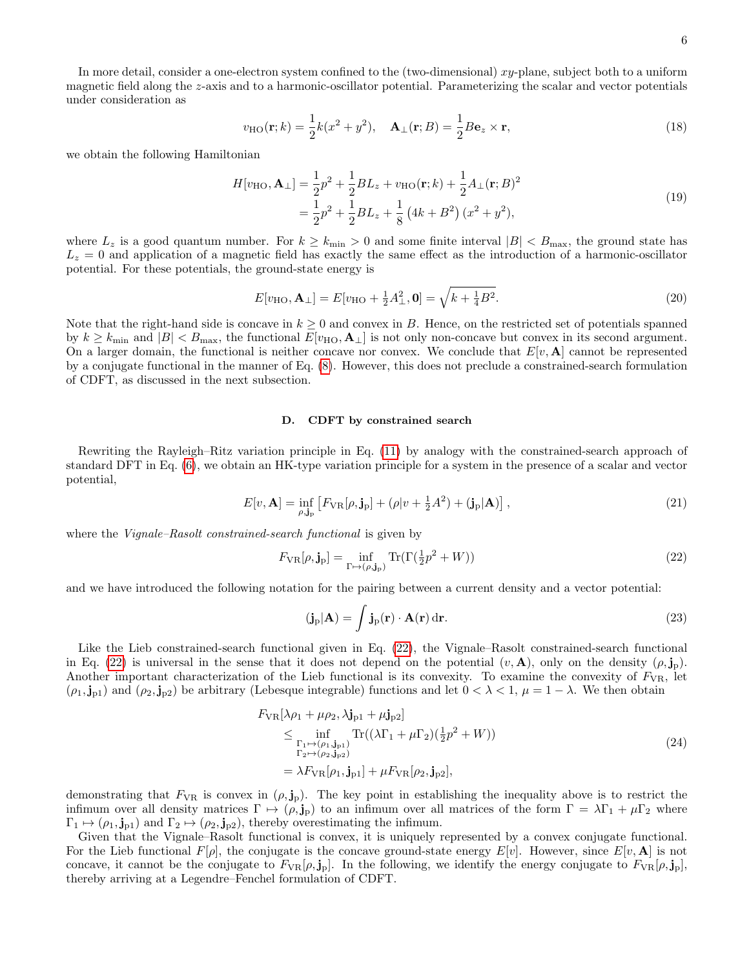In more detail, consider a one-electron system confined to the (two-dimensional) xy-plane, subject both to a uniform magnetic field along the z-axis and to a harmonic-oscillator potential. Parameterizing the scalar and vector potentials under consideration as

$$
v_{\text{HO}}(\mathbf{r};k) = \frac{1}{2}k(x^2 + y^2), \quad \mathbf{A}_{\perp}(\mathbf{r};B) = \frac{1}{2}B\mathbf{e}_z \times \mathbf{r},\tag{18}
$$

we obtain the following Hamiltonian

$$
H[v_{\text{HO}}, \mathbf{A}_{\perp}] = \frac{1}{2}p^2 + \frac{1}{2}BL_z + v_{\text{HO}}(\mathbf{r}; k) + \frac{1}{2}A_{\perp}(\mathbf{r}; B)^2
$$
  
=  $\frac{1}{2}p^2 + \frac{1}{2}BL_z + \frac{1}{8}(4k + B^2)(x^2 + y^2),$  (19)

where  $L_z$  is a good quantum number. For  $k \geq k_{\min} > 0$  and some finite interval  $|B| < B_{\max}$ , the ground state has  $L_z = 0$  and application of a magnetic field has exactly the same effect as the introduction of a harmonic-oscillator potential. For these potentials, the ground-state energy is

$$
E[v_{\text{HO}}, \mathbf{A}_{\perp}] = E[v_{\text{HO}} + \frac{1}{2}A_{\perp}^{2}, \mathbf{0}] = \sqrt{k + \frac{1}{4}B^{2}}.
$$
\n(20)

Note that the right-hand side is concave in  $k \geq 0$  and convex in B. Hence, on the restricted set of potentials spanned by  $k \geq k_{\text{min}}$  and  $|B| < B_{\text{max}}$ , the functional  $E[v_{\text{HO}}, \mathbf{A}_\perp]$  is not only non-concave but convex in its second argument. On a larger domain, the functional is neither concave nor convex. We conclude that  $E[v, A]$  cannot be represented by a conjugate functional in the manner of Eq. [\(8\)](#page-2-2). However, this does not preclude a constrained-search formulation of CDFT, as discussed in the next subsection.

#### D. CDFT by constrained search

Rewriting the Rayleigh–Ritz variation principle in Eq. [\(11\)](#page-3-2) by analogy with the constrained-search approach of standard DFT in Eq. [\(6\)](#page-2-7), we obtain an HK-type variation principle for a system in the presence of a scalar and vector potential,

<span id="page-5-1"></span>
$$
E[v, \mathbf{A}] = \inf_{\rho, \mathbf{j}_\mathbf{p}} \left[ F_{\text{VR}}[\rho, \mathbf{j}_\mathbf{p}] + (\rho | v + \frac{1}{2} A^2) + (\mathbf{j}_\mathbf{p} | \mathbf{A}) \right],\tag{21}
$$

where the *Vignale–Rasolt constrained-search functional* is given by

<span id="page-5-0"></span>
$$
F_{\rm VR}[\rho, \mathbf{j}_p] = \inf_{\Gamma \mapsto (\rho, \mathbf{j}_p)} \text{Tr}(\Gamma(\frac{1}{2}p^2 + W))
$$
\n(22)

and we have introduced the following notation for the pairing between a current density and a vector potential:

$$
(\mathbf{j}_\mathrm{p}|\mathbf{A}) = \int \mathbf{j}_\mathrm{p}(\mathbf{r}) \cdot \mathbf{A}(\mathbf{r}) \,\mathrm{d}\mathbf{r}.\tag{23}
$$

Like the Lieb constrained-search functional given in Eq. [\(22\)](#page-5-0), the Vignale–Rasolt constrained-search functional in Eq. [\(22\)](#page-5-0) is universal in the sense that it does not depend on the potential  $(v, \mathbf{A})$ , only on the density  $(\rho, \mathbf{j}_p)$ . Another important characterization of the Lieb functional is its convexity. To examine the convexity of  $F_{VR}$ , let  $(\rho_1, \mathbf{j}_{p1})$  and  $(\rho_2, \mathbf{j}_{p2})$  be arbitrary (Lebesque integrable) functions and let  $0 < \lambda < 1$ ,  $\mu = 1 - \lambda$ . We then obtain

$$
F_{\rm VR}[\lambda \rho_1 + \mu \rho_2, \lambda j_{\rm p1} + \mu j_{\rm p2}]
$$
  
\n
$$
\leq \inf_{\substack{\Gamma_1 \mapsto (\rho_1, j_{\rm p1}) \\ \Gamma_2 \mapsto (\rho_2, j_{\rm p2})}} \text{Tr}((\lambda \Gamma_1 + \mu \Gamma_2)(\frac{1}{2}p^2 + W))
$$
  
\n
$$
= \lambda F_{\rm VR}[\rho_1, j_{\rm p1}] + \mu F_{\rm VR}[\rho_2, j_{\rm p2}],
$$
\n(24)

demonstrating that  $F_{VR}$  is convex in  $(\rho, j_p)$ . The key point in establishing the inequality above is to restrict the infimum over all density matrices  $\Gamma \mapsto (\rho, \mathbf{j}_p)$  to an infimum over all matrices of the form  $\Gamma = \lambda \Gamma_1 + \mu \Gamma_2$  where  $\Gamma_1 \mapsto (\rho_1, \mathbf{j}_{p1})$  and  $\Gamma_2 \mapsto (\rho_2, \mathbf{j}_{p2})$ , thereby overestimating the infimum.

Given that the Vignale–Rasolt functional is convex, it is uniquely represented by a convex conjugate functional. For the Lieb functional  $F[\rho]$ , the conjugate is the concave ground-state energy  $E[v]$ . However, since  $E[v, A]$  is not concave, it cannot be the conjugate to  $F_{\text{VR}}[\rho, \mathbf{j}_p]$ . In the following, we identify the energy conjugate to  $F_{\text{VR}}[\rho, \mathbf{j}_p]$ , thereby arriving at a Legendre–Fenchel formulation of CDFT.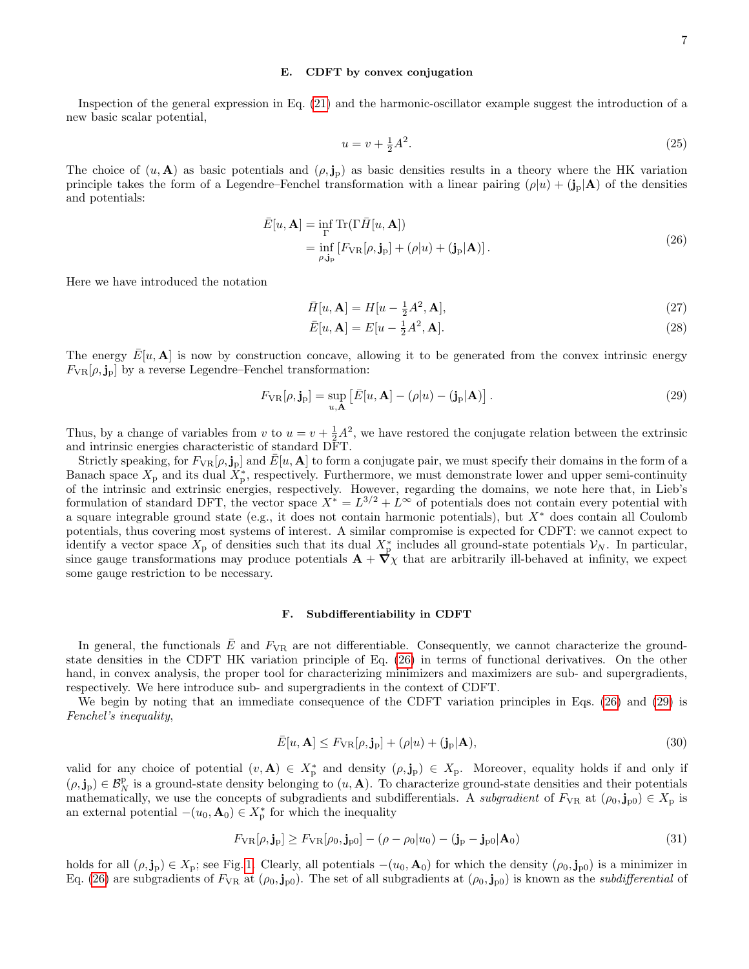#### <span id="page-6-0"></span>E. CDFT by convex conjugation

Inspection of the general expression in Eq. [\(21\)](#page-5-1) and the harmonic-oscillator example suggest the introduction of a new basic scalar potential,

$$
u = v + \frac{1}{2}A^2.
$$
 (25)

The choice of  $(u, A)$  as basic potentials and  $(\rho, j_p)$  as basic densities results in a theory where the HK variation principle takes the form of a Legendre–Fenchel transformation with a linear pairing  $(\rho|u) + (\mathbf{j}_p|\mathbf{A})$  of the densities and potentials:

$$
\bar{E}[u, \mathbf{A}] = \inf_{\Gamma} \text{Tr}(\Gamma \bar{H}[u, \mathbf{A}])
$$
  
= 
$$
\inf_{\rho, \mathbf{j}_\mathbf{p}} [F_{\text{VR}}[\rho, \mathbf{j}_\mathbf{p}] + (\rho | u) + (\mathbf{j}_\mathbf{p} | \mathbf{A})].
$$
 (26)

<span id="page-6-1"></span>Here we have introduced the notation

$$
\bar{H}[u,\mathbf{A}] = H[u - \frac{1}{2}A^2, \mathbf{A}],\tag{27}
$$

$$
\bar{E}[u, \mathbf{A}] = E[u - \frac{1}{2}A^2, \mathbf{A}].\tag{28}
$$

The energy  $E[u, A]$  is now by construction concave, allowing it to be generated from the convex intrinsic energy  $F_{\text{VR}}[\rho, \mathbf{j}_p]$  by a reverse Legendre–Fenchel transformation:

<span id="page-6-2"></span>
$$
F_{\rm VR}[\rho, \mathbf{j}_p] = \sup_{u, \mathbf{A}} \left[ \bar{E}[u, \mathbf{A}] - (\rho|u) - (\mathbf{j}_p|\mathbf{A}) \right]. \tag{29}
$$

Thus, by a change of variables from v to  $u = v + \frac{1}{2}A^2$ , we have restored the conjugate relation between the extrinsic and intrinsic energies characteristic of standard DFT.

Strictly speaking, for  $F_{VR}[\rho, \mathbf{j}_p]$  and  $\bar{E}[u, \mathbf{A}]$  to form a conjugate pair, we must specify their domains in the form of a Banach space  $X_p$  and its dual  $\tilde{X}_p^*$ , respectively. Furthermore, we must demonstrate lower and upper semi-continuity of the intrinsic and extrinsic energies, respectively. However, regarding the domains, we note here that, in Lieb's formulation of standard DFT, the vector space  $X^* = L^{3/2} + L^{\infty}$  of potentials does not contain every potential with a square integrable ground state (e.g., it does not contain harmonic potentials), but X<sup>∗</sup> does contain all Coulomb potentials, thus covering most systems of interest. A similar compromise is expected for CDFT: we cannot expect to identify a vector space  $X_p$  of densities such that its dual  $X_p^*$  includes all ground-state potentials  $\mathcal{V}_N$ . In particular, since gauge transformations may produce potentials  $\mathbf{A} + \nabla \chi$  that are arbitrarily ill-behaved at infinity, we expect some gauge restriction to be necessary.

### <span id="page-6-3"></span>F. Subdifferentiability in CDFT

In general, the functionals  $\bar{E}$  and  $F_{VR}$  are not differentiable. Consequently, we cannot characterize the groundstate densities in the CDFT HK variation principle of Eq. [\(26\)](#page-6-1) in terms of functional derivatives. On the other hand, in convex analysis, the proper tool for characterizing minimizers and maximizers are sub- and supergradients, respectively. We here introduce sub- and supergradients in the context of CDFT.

We begin by noting that an immediate consequence of the CDFT variation principles in Eqs. [\(26\)](#page-6-1) and [\(29\)](#page-6-2) is Fenchel's inequality,

$$
\bar{E}[u, \mathbf{A}] \le F_{\text{VR}}[\rho, \mathbf{j}_p] + (\rho|u) + (\mathbf{j}_p|\mathbf{A}),\tag{30}
$$

valid for any choice of potential  $(v, A) \in X_p^*$  and density  $(\rho, \mathbf{j}_p) \in X_p$ . Moreover, equality holds if and only if  $(\rho, \mathbf{j}_p) \in \mathcal{B}_N^p$  is a ground-state density belonging to  $(u, \mathbf{A})$ . To characterize ground-state densities and their potentials mathematically, we use the concepts of subgradients and subdifferentials. A *subgradient* of  $F_{\rm VR}$  at  $(\rho_0, j_{\rm p0}) \in X_p$  is an external potential  $-(u_0, \mathbf{A}_0) \in X^*_{\text{p}}$  for which the inequality

$$
F_{\rm VR}[\rho, \mathbf{j}_p] \ge F_{\rm VR}[\rho_0, \mathbf{j}_{p0}] - (\rho - \rho_0 | u_0) - (\mathbf{j}_p - \mathbf{j}_{p0} | \mathbf{A}_0)
$$
\n(31)

holds for all  $(\rho, \mathbf{j}_p) \in X_p$ ; see Fig. [1.](#page-7-0) Clearly, all potentials  $-(u_0, \mathbf{A}_0)$  for which the density  $(\rho_0, \mathbf{j}_{p0})$  is a minimizer in Eq. [\(26\)](#page-6-1) are subgradients of  $F_{VR}$  at  $(\rho_0, \mathbf{j}_{p0})$ . The set of all subgradients at  $(\rho_0, \mathbf{j}_{p0})$  is known as the *subdifferential* of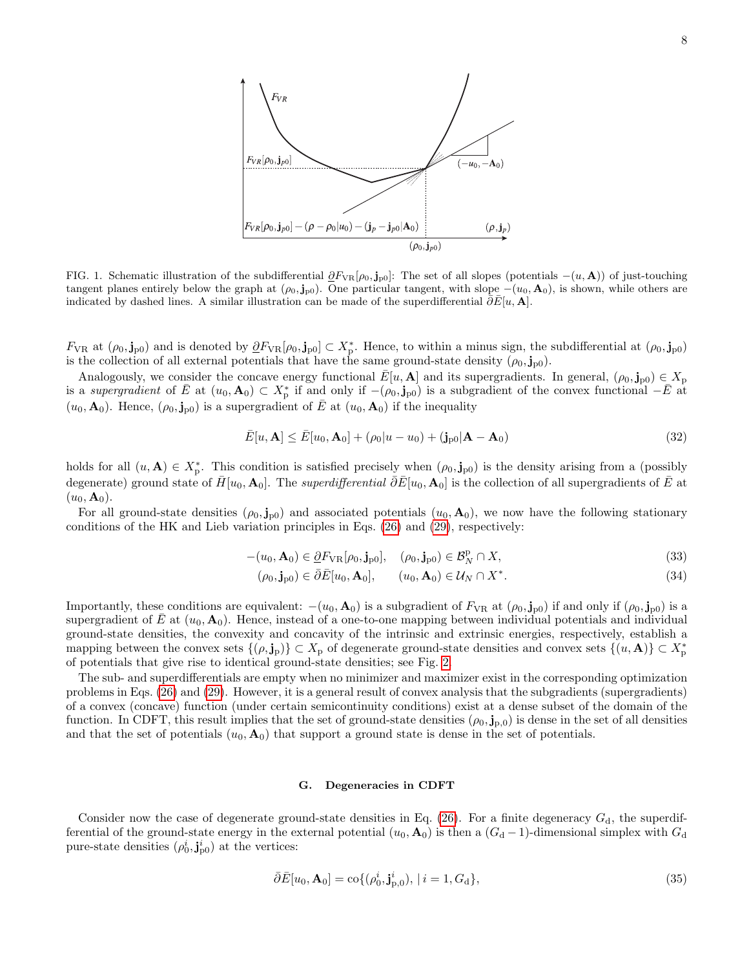

<span id="page-7-0"></span>FIG. 1. Schematic illustration of the subdifferential  $\partial F_{\rm VR}[\rho_0, \mathbf{j}_{\rm pol}]$ : The set of all slopes (potentials  $-(u, \mathbf{A})$ ) of just-touching tangent planes entirely below the graph at  $(\rho_0, \mathbf{j}_{p0})$ . One particular tangent, with slope  $-(u_0, \mathbf{A}_0)$ , is shown, while others are indicated by dashed lines. A similar illustration can be made of the superdifferential  $\bar{\partial}\bar{E}[u, A]$ .

 $F_{VR}$  at  $(\rho_0, \mathbf{j}_{p0})$  and is denoted by  $\partial F_{VR}[\rho_0, \mathbf{j}_{p0}] \subset X_p^*$ . Hence, to within a minus sign, the subdifferential at  $(\rho_0, \mathbf{j}_{p0})$ is the collection of all external potentials that have the same ground-state density  $(\rho_0, \mathbf{j}_{\text{p0}})$ .

Analogously, we consider the concave energy functional  $E[u, A]$  and its supergradients. In general,  $(\rho_0, \mathbf{j}_{p0}) \in X_p$ is a supergradient of  $\bar{E}$  at  $(u_0, \mathbf{A}_0) \subset X_p^*$  if and only if  $-(\rho_0, \mathbf{j}_{p0})$  is a subgradient of the convex functional  $-\bar{E}$  at  $(u_0, \mathbf{A}_0)$ . Hence,  $(\rho_0, \mathbf{j}_{p0})$  is a supergradient of  $\overline{E}$  at  $(u_0, \mathbf{A}_0)$  if the inequality

$$
\bar{E}[u, \mathbf{A}] \le \bar{E}[u_0, \mathbf{A}_0] + (\rho_0|u - u_0) + (\mathbf{j}_{\text{p}0}|\mathbf{A} - \mathbf{A}_0)
$$
\n(32)

holds for all  $(u, A) \in X_p^*$ . This condition is satisfied precisely when  $(\rho_0, \mathbf{j}_{p0})$  is the density arising from a (possibly degenerate) ground state of  $\bar{H}[u_0, A_0]$ . The *superdifferential*  $\bar{\partial}\bar{E}[u_0, A_0]$  is the collection of all supergradients of  $\bar{E}$  at  $(u_0, \mathbf{A}_0).$ 

For all ground-state densities  $(\rho_0, j_{p0})$  and associated potentials  $(u_0, A_0)$ , we now have the following stationary conditions of the HK and Lieb variation principles in Eqs. [\(26\)](#page-6-1) and [\(29\)](#page-6-2), respectively:

$$
-(u_0, \mathbf{A}_0) \in \underline{\partial} F_{\text{VR}}[\rho_0, \mathbf{j}_{\text{p}0}], \quad (\rho_0, \mathbf{j}_{\text{p}0}) \in \mathcal{B}_N^{\text{p}} \cap X,\tag{33}
$$

$$
(\rho_0, \mathbf{j}_{p0}) \in \bar{\partial}\bar{E}[u_0, \mathbf{A}_0], \qquad (u_0, \mathbf{A}_0) \in \mathcal{U}_N \cap X^*.
$$
\n
$$
(34)
$$

Importantly, these conditions are equivalent:  $-(u_0, \mathbf{A}_0)$  is a subgradient of  $F_{VR}$  at  $(\rho_0, \mathbf{j}_{p0})$  if and only if  $(\rho_0, \mathbf{j}_{p0})$  is a supergradient of E at  $(u_0, \mathbf{A}_0)$ . Hence, instead of a one-to-one mapping between individual potentials and individual ground-state densities, the convexity and concavity of the intrinsic and extrinsic energies, respectively, establish a mapping between the convex sets  $\{(\rho, \mathbf{j}_p)\}\subset X_p$  of degenerate ground-state densities and convex sets  $\{(u, \mathbf{A})\}\subset X_p^*$ of potentials that give rise to identical ground-state densities; see Fig. [2.](#page-8-0)

The sub- and superdifferentials are empty when no minimizer and maximizer exist in the corresponding optimization problems in Eqs. [\(26\)](#page-6-1) and [\(29\)](#page-6-2). However, it is a general result of convex analysis that the subgradients (supergradients) of a convex (concave) function (under certain semicontinuity conditions) exist at a dense subset of the domain of the function. In CDFT, this result implies that the set of ground-state densities  $(\rho_0, \mathbf{j}_{p,0})$  is dense in the set of all densities and that the set of potentials  $(u_0, \mathbf{A}_0)$  that support a ground state is dense in the set of potentials.

## G. Degeneracies in CDFT

Consider now the case of degenerate ground-state densities in Eq.  $(26)$ . For a finite degeneracy  $G_d$ , the superdifferential of the ground-state energy in the external potential  $(u_0, \mathbf{A}_0)$  is then a  $(G_d - 1)$ -dimensional simplex with  $G_d$ pure-state densities  $(\rho_0^i, \mathbf{j}_{p0}^i)$  at the vertices:

$$
\bar{\partial}\bar{E}[u_0, \mathbf{A}_0] = \text{co}\{(\rho_0^i, \mathbf{j}_{\text{p},0}^i), |i = 1, G_\text{d}\},\tag{35}
$$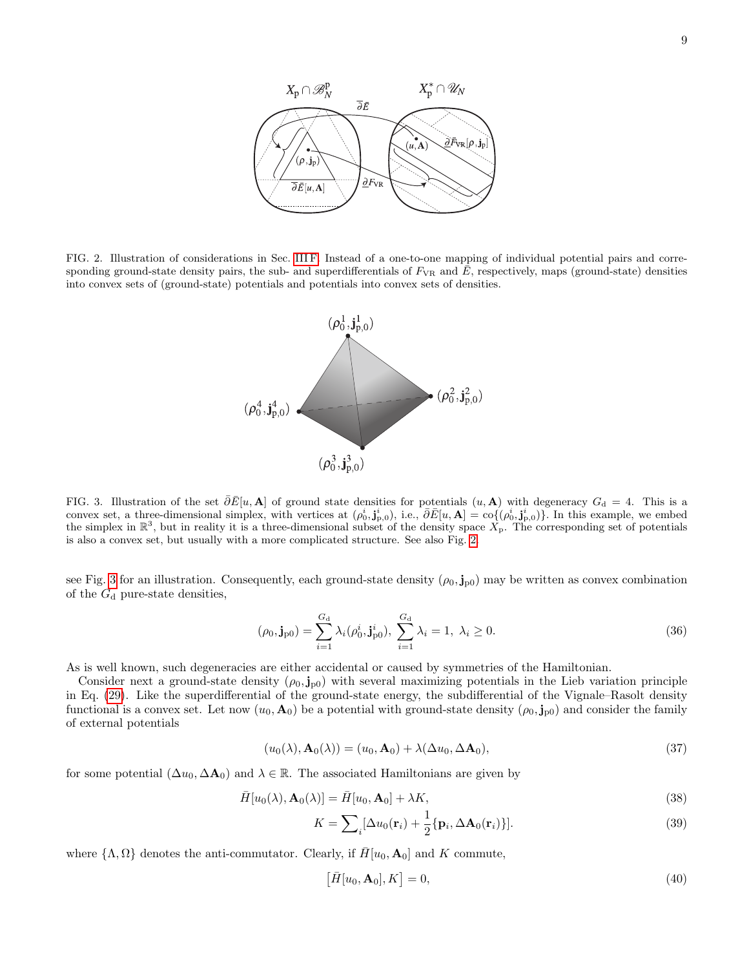

<span id="page-8-0"></span>FIG. 2. Illustration of considerations in Sec. [III F.](#page-6-3) Instead of a one-to-one mapping of individual potential pairs and corresponding ground-state density pairs, the sub- and superdifferentials of  $F_{VR}$  and  $E$ , respectively, maps (ground-state) densities into convex sets of (ground-state) potentials and potentials into convex sets of densities.



<span id="page-8-1"></span>FIG. 3. Illustration of the set  $\overline{\partial}E[u, A]$  of ground state densities for potentials  $(u, A)$  with degeneracy  $G_d = 4$ . This is a convex set, a three-dimensional simplex, with vertices at  $(\rho_0^i, \mathbf{j}_{p,0}^i)$ , i.e.,  $\overline{\partial} \overline{E}[u, \mathbf{A}] = \overline{\text{co}}((\rho_0^i, \mathbf{j}_{p,0}^i))$ . In this example, we embed the simplex in  $\mathbb{R}^3$ , but in reality it is a three-dimensional subset of the density space  $X_p$ . The corresponding set of potentials is also a convex set, but usually with a more complicated structure. See also Fig. [2.](#page-8-0)

see Fig. [3](#page-8-1) for an illustration. Consequently, each ground-state density  $(\rho_0, \mathbf{j}_{p0})$  may be written as convex combination of the  $G_d$  pure-state densities,

$$
(\rho_0, \mathbf{j}_{p0}) = \sum_{i=1}^{G_d} \lambda_i (\rho_0^i, \mathbf{j}_{p0}^i), \ \sum_{i=1}^{G_d} \lambda_i = 1, \ \lambda_i \ge 0. \tag{36}
$$

As is well known, such degeneracies are either accidental or caused by symmetries of the Hamiltonian.

Consider next a ground-state density  $(\rho_0, j_{p0})$  with several maximizing potentials in the Lieb variation principle in Eq. [\(29\)](#page-6-2). Like the superdifferential of the ground-state energy, the subdifferential of the Vignale–Rasolt density functional is a convex set. Let now  $(u_0, A_0)$  be a potential with ground-state density  $(\rho_0, j_{p0})$  and consider the family of external potentials

<span id="page-8-2"></span>
$$
(u_0(\lambda), \mathbf{A}_0(\lambda)) = (u_0, \mathbf{A}_0) + \lambda (\Delta u_0, \Delta \mathbf{A}_0), \tag{37}
$$

for some potential  $(\Delta u_0, \Delta \mathbf{A}_0)$  and  $\lambda \in \mathbb{R}$ . The associated Hamiltonians are given by

$$
\bar{H}[u_0(\lambda), \mathbf{A}_0(\lambda)] = \bar{H}[u_0, \mathbf{A}_0] + \lambda K,
$$
\n(38)

$$
K = \sum_{i} [\Delta u_0(\mathbf{r}_i) + \frac{1}{2} \{ \mathbf{p}_i, \Delta \mathbf{A}_0(\mathbf{r}_i) \}].
$$
 (39)

where  $\{\Lambda, \Omega\}$  denotes the anti-commutator. Clearly, if  $H[u_0, A_0]$  and K commute,

<span id="page-8-3"></span>
$$
[\bar{H}[u_0, \mathbf{A}_0], K] = 0,\t\t(40)
$$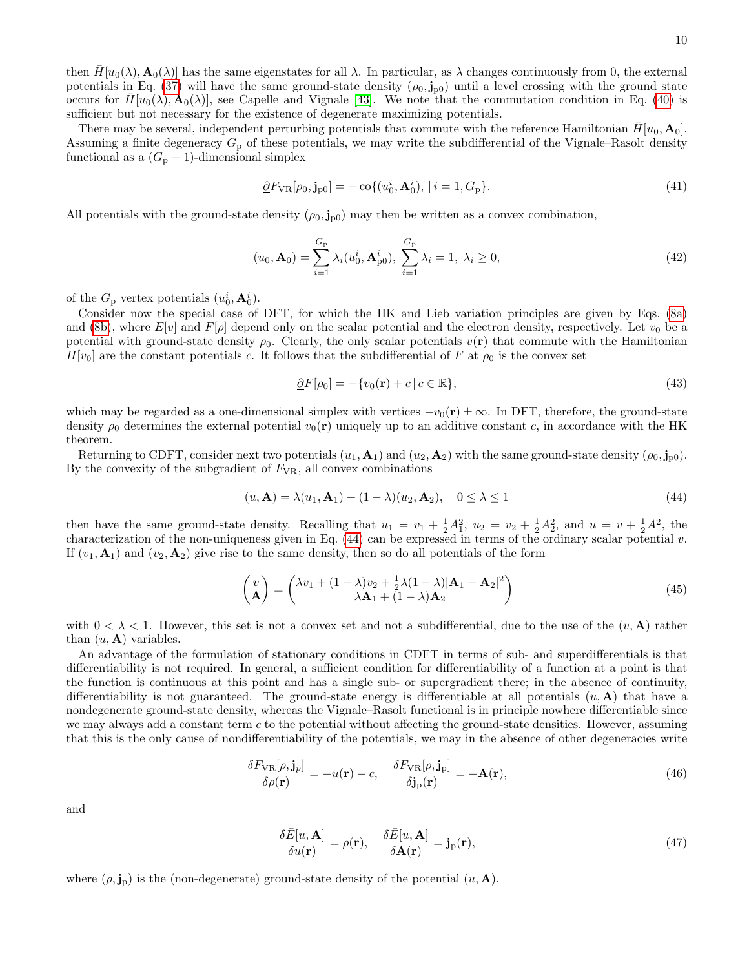10

then  $H[u_0(\lambda), \mathbf{A}_0(\lambda)]$  has the same eigenstates for all  $\lambda$ . In particular, as  $\lambda$  changes continuously from 0, the external potentials in Eq. [\(37\)](#page-8-2) will have the same ground-state density  $(\rho_0, j_{p0})$  until a level crossing with the ground state occurs for  $\tilde{H}[u_0(\lambda), \mathbf{A}_0(\lambda)]$ , see Capelle and Vignale [\[43\]](#page-18-15). We note that the commutation condition in Eq. [\(40\)](#page-8-3) is sufficient but not necessary for the existence of degenerate maximizing potentials.

There may be several, independent perturbing potentials that commute with the reference Hamiltonian  $H[u_0, \mathbf{A}_0]$ . Assuming a finite degeneracy  $G_p$  of these potentials, we may write the subdifferential of the Vignale–Rasolt density functional as a  $(G_p - 1)$ -dimensional simplex

$$
\underline{\partial}F_{\text{VR}}[\rho_0, \mathbf{j}_{\text{p}0}] = -\cos\{(u_0^i, \mathbf{A}_0^i), \, | \, i = 1, G_{\text{P}}\}.\tag{41}
$$

All potentials with the ground-state density  $(\rho_0, j_{p0})$  may then be written as a convex combination,

$$
(u_0, \mathbf{A}_0) = \sum_{i=1}^{G_{\rm p}} \lambda_i(u_0^i, \mathbf{A}_{\rm p0}^i), \ \sum_{i=1}^{G_{\rm p}} \lambda_i = 1, \ \lambda_i \ge 0,
$$
\n
$$
(42)
$$

of the  $G_{\rm p}$  vertex potentials  $(u_0^i, \mathbf{A}_0^i)$ .

Consider now the special case of DFT, for which the HK and Lieb variation principles are given by Eqs. [\(8a\)](#page-2-3) and [\(8b\)](#page-2-2), where  $E[v]$  and  $F[\rho]$  depend only on the scalar potential and the electron density, respectively. Let  $v_0$  be a potential with ground-state density  $\rho_0$ . Clearly, the only scalar potentials  $v(\mathbf{r})$  that commute with the Hamiltonian  $H[v_0]$  are the constant potentials c. It follows that the subdifferential of F at  $\rho_0$  is the convex set

$$
\underline{\partial}F[\rho_0] = -\{v_0(\mathbf{r}) + c \mid c \in \mathbb{R}\},\tag{43}
$$

which may be regarded as a one-dimensional simplex with vertices  $-v_0(\mathbf{r}) \pm \infty$ . In DFT, therefore, the ground-state density  $\rho_0$  determines the external potential  $v_0(\mathbf{r})$  uniquely up to an additive constant c, in accordance with the HK theorem.

Returning to CDFT, consider next two potentials  $(u_1, \mathbf{A}_1)$  and  $(u_2, \mathbf{A}_2)$  with the same ground-state density  $(\rho_0, \mathbf{j}_{p0})$ . By the convexity of the subgradient of  $F_{VR}$ , all convex combinations

<span id="page-9-0"></span>
$$
(u, \mathbf{A}) = \lambda(u_1, \mathbf{A}_1) + (1 - \lambda)(u_2, \mathbf{A}_2), \quad 0 \le \lambda \le 1
$$
\n
$$
(44)
$$

then have the same ground-state density. Recalling that  $u_1 = v_1 + \frac{1}{2}A_1^2$ ,  $u_2 = v_2 + \frac{1}{2}A_2^2$ , and  $u = v + \frac{1}{2}A^2$ , the characterization of the non-uniqueness given in Eq.  $(44)$  can be expressed in terms of the ordinary scalar potential v. If  $(v_1, \mathbf{A}_1)$  and  $(v_2, \mathbf{A}_2)$  give rise to the same density, then so do all potentials of the form

$$
\begin{pmatrix} v \\ A \end{pmatrix} = \begin{pmatrix} \lambda v_1 + (1 - \lambda)v_2 + \frac{1}{2}\lambda(1 - \lambda)|A_1 - A_2|^2 \\ \lambda A_1 + (1 - \lambda)A_2 \end{pmatrix}
$$
(45)

with  $0 < \lambda < 1$ . However, this set is not a convex set and not a subdifferential, due to the use of the  $(v, \mathbf{A})$  rather than  $(u, A)$  variables.

An advantage of the formulation of stationary conditions in CDFT in terms of sub- and superdifferentials is that differentiability is not required. In general, a sufficient condition for differentiability of a function at a point is that the function is continuous at this point and has a single sub- or supergradient there; in the absence of continuity, differentiability is not guaranteed. The ground-state energy is differentiable at all potentials  $(u, A)$  that have a nondegenerate ground-state density, whereas the Vignale–Rasolt functional is in principle nowhere differentiable since we may always add a constant term  $c$  to the potential without affecting the ground-state densities. However, assuming that this is the only cause of nondifferentiability of the potentials, we may in the absence of other degeneracies write

$$
\frac{\delta F_{\rm VR}[\rho, \mathbf{j}_p]}{\delta \rho(\mathbf{r})} = -u(\mathbf{r}) - c, \quad \frac{\delta F_{\rm VR}[\rho, \mathbf{j}_p]}{\delta \mathbf{j}_p(\mathbf{r})} = -\mathbf{A}(\mathbf{r}),\tag{46}
$$

and

$$
\frac{\delta \bar{E}[u, \mathbf{A}]}{\delta u(\mathbf{r})} = \rho(\mathbf{r}), \quad \frac{\delta \bar{E}[u, \mathbf{A}]}{\delta \mathbf{A}(\mathbf{r})} = \mathbf{j}_{\mathrm{p}}(\mathbf{r}), \tag{47}
$$

where  $(\rho, \mathbf{j}_p)$  is the (non-degenerate) ground-state density of the potential  $(u, \mathbf{A})$ .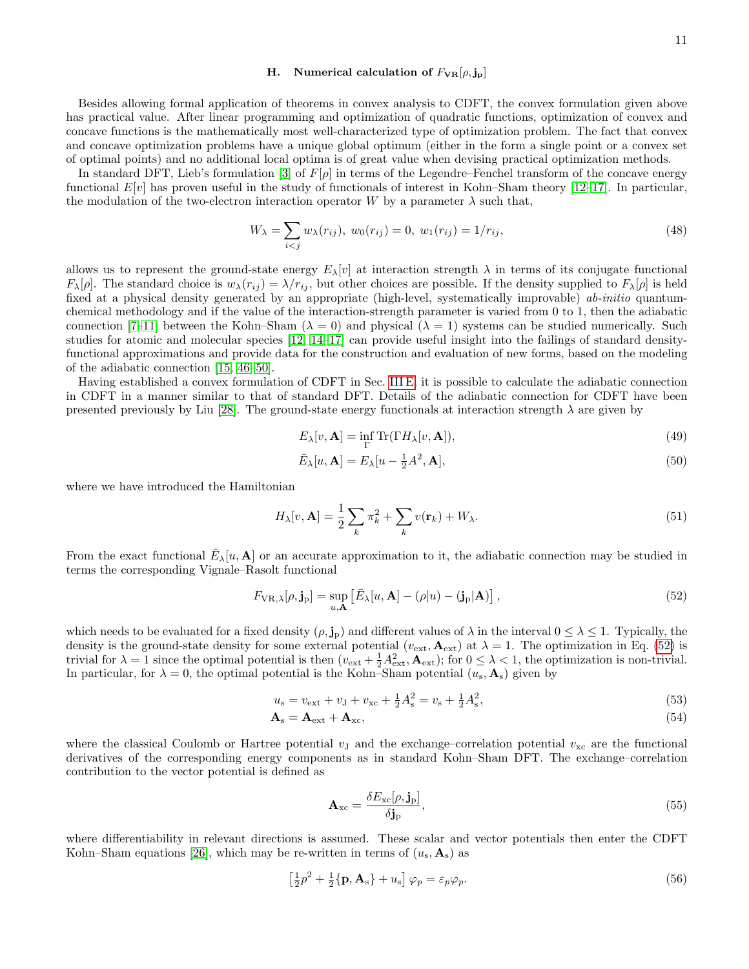### <span id="page-10-0"></span>H. Numerical calculation of  $F_{VR}[\rho, \mathbf{j}_P]$

Besides allowing formal application of theorems in convex analysis to CDFT, the convex formulation given above has practical value. After linear programming and optimization of quadratic functions, optimization of convex and concave functions is the mathematically most well-characterized type of optimization problem. The fact that convex and concave optimization problems have a unique global optimum (either in the form a single point or a convex set of optimal points) and no additional local optima is of great value when devising practical optimization methods.

In standard DFT, Lieb's formulation [\[3\]](#page-17-2) of  $F[\rho]$  in terms of the Legendre–Fenchel transform of the concave energy functional  $E[v]$  has proven useful in the study of functionals of interest in Kohn–Sham theory [\[12–](#page-17-7)[17\]](#page-18-0). In particular, the modulation of the two-electron interaction operator W by a parameter  $\lambda$  such that,

<span id="page-10-2"></span>
$$
W_{\lambda} = \sum_{i < j} w_{\lambda}(r_{ij}), \ w_0(r_{ij}) = 0, \ w_1(r_{ij}) = 1/r_{ij}, \tag{48}
$$

allows us to represent the ground-state energy  $E_{\lambda}[v]$  at interaction strength  $\lambda$  in terms of its conjugate functional  $F_{\lambda}[\rho]$ . The standard choice is  $w_{\lambda}(r_{ij}) = \lambda/r_{ij}$ , but other choices are possible. If the density supplied to  $F_{\lambda}[\rho]$  is held fixed at a physical density generated by an appropriate (high-level, systematically improvable) ab-initio quantumchemical methodology and if the value of the interaction-strength parameter is varied from 0 to 1, then the adiabatic connection [\[7–](#page-17-5)[11\]](#page-17-6) between the Kohn–Sham ( $\lambda = 0$ ) and physical ( $\lambda = 1$ ) systems can be studied numerically. Such studies for atomic and molecular species [\[12,](#page-17-7) [14](#page-17-8)[–17\]](#page-18-0) can provide useful insight into the failings of standard densityfunctional approximations and provide data for the construction and evaluation of new forms, based on the modeling of the adiabatic connection [\[15,](#page-18-18) [46](#page-18-19)[–50\]](#page-18-20).

Having established a convex formulation of CDFT in Sec. [III E,](#page-6-0) it is possible to calculate the adiabatic connection in CDFT in a manner similar to that of standard DFT. Details of the adiabatic connection for CDFT have been presented previously by Liu [\[28\]](#page-18-9). The ground-state energy functionals at interaction strength  $\lambda$  are given by

$$
E_{\lambda}[v, \mathbf{A}] = \inf_{\Gamma} \text{Tr}(\Gamma H_{\lambda}[v, \mathbf{A}]), \tag{49}
$$

$$
\bar{E}_{\lambda}[u, \mathbf{A}] = E_{\lambda}[u - \frac{1}{2}A^2, \mathbf{A}], \tag{50}
$$

where we have introduced the Hamiltonian

$$
H_{\lambda}[v, \mathbf{A}] = \frac{1}{2} \sum_{k} \pi_{k}^{2} + \sum_{k} v(\mathbf{r}_{k}) + W_{\lambda}.
$$
\n(51)

From the exact functional  $\bar{E}_{\lambda}[u, A]$  or an accurate approximation to it, the adiabatic connection may be studied in terms the corresponding Vignale–Rasolt functional

<span id="page-10-1"></span>
$$
F_{\text{VR},\lambda}[\rho,\mathbf{j}_\text{p}] = \sup_{u,\mathbf{A}} \left[ \bar{E}_{\lambda}[u,\mathbf{A}] - (\rho|u) - (\mathbf{j}_\text{p}|\mathbf{A}) \right],\tag{52}
$$

which needs to be evaluated for a fixed density  $(\rho, j_p)$  and different values of  $\lambda$  in the interval  $0 \leq \lambda \leq 1$ . Typically, the density is the ground-state density for some external potential ( $v_{\text{ext}}$ ,  $\mathbf{A}_{\text{ext}}$ ) at  $\lambda = 1$ . The optimization in Eq. [\(52\)](#page-10-1) is trivial for  $\lambda = 1$  since the optimal potential is then  $(v_{\text{ext}} + \frac{1}{2} A_{\text{ext}}^2, \mathbf{A}_{\text{ext}})$ ; for  $0 \leq \lambda < 1$ , the optimization is non-trivial. In particular, for  $\lambda = 0$ , the optimal potential is the Kohn–Sham potential  $(u_s, \mathbf{A}_s)$  given by

$$
u_{s} = v_{\text{ext}} + v_{\text{J}} + v_{\text{xc}} + \frac{1}{2}A_{s}^{2} = v_{s} + \frac{1}{2}A_{s}^{2},\tag{53}
$$

$$
\mathbf{A}_{\rm s} = \mathbf{A}_{\rm ext} + \mathbf{A}_{\rm xc},\tag{54}
$$

where the classical Coulomb or Hartree potential  $v<sub>J</sub>$  and the exchange–correlation potential  $v<sub>xc</sub>$  are the functional derivatives of the corresponding energy components as in standard Kohn–Sham DFT. The exchange–correlation contribution to the vector potential is defined as

$$
\mathbf{A}_{\rm xc} = \frac{\delta E_{\rm xc}[\rho, \mathbf{j}_\mathrm{p}]}{\delta \mathbf{j}_\mathrm{p}},\tag{55}
$$

where differentiability in relevant directions is assumed. These scalar and vector potentials then enter the CDFT Kohn–Sham equations [\[26\]](#page-18-7), which may be re-written in terms of  $(u_s, \mathbf{A}_s)$  as

$$
\left[\frac{1}{2}p^2 + \frac{1}{2}\{\mathbf{p}, \mathbf{A}_s\} + u_s\right]\varphi_p = \varepsilon_p \varphi_p. \tag{56}
$$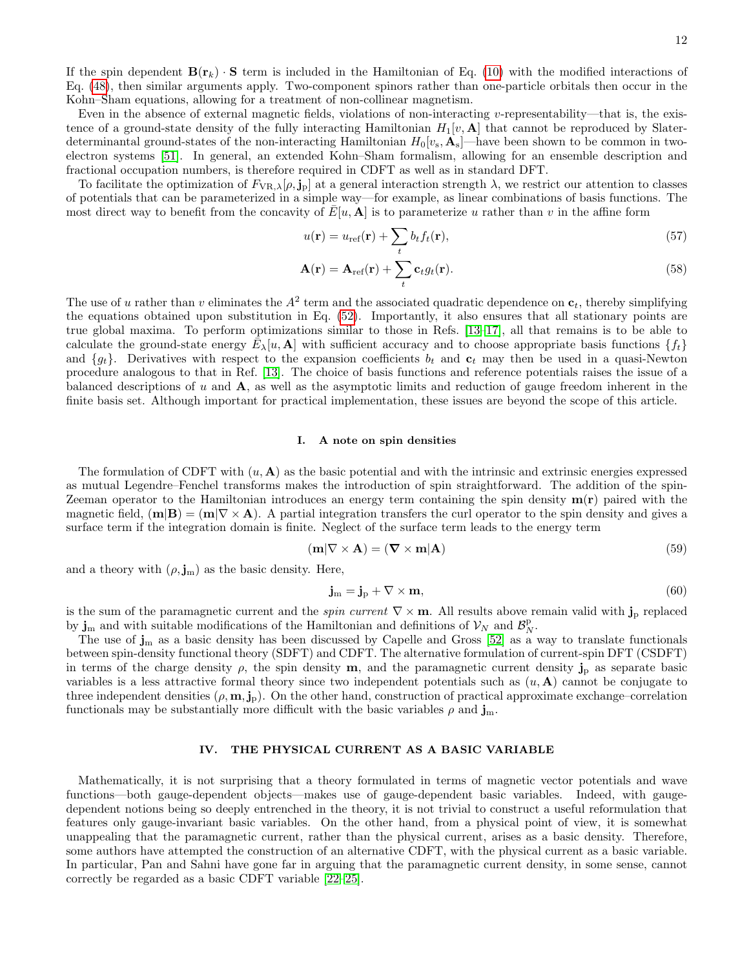If the spin dependent  $\mathbf{B}(\mathbf{r}_k) \cdot \mathbf{S}$  term is included in the Hamiltonian of Eq. [\(10\)](#page-3-3) with the modified interactions of Eq. [\(48\)](#page-10-2), then similar arguments apply. Two-component spinors rather than one-particle orbitals then occur in the Kohn–Sham equations, allowing for a treatment of non-collinear magnetism.

Even in the absence of external magnetic fields, violations of non-interacting v-representability—that is, the existence of a ground-state density of the fully interacting Hamiltonian  $H_1[v, \mathbf{A}]$  that cannot be reproduced by Slaterdeterminantal ground-states of the non-interacting Hamiltonian  $H_0[v_s, \mathbf{A}_s]$ —have been shown to be common in twoelectron systems [\[51\]](#page-18-21). In general, an extended Kohn–Sham formalism, allowing for an ensemble description and fractional occupation numbers, is therefore required in CDFT as well as in standard DFT.

To facilitate the optimization of  $F_{\rm VR, \lambda}[\rho, \mathbf{j}_p]$  at a general interaction strength  $\lambda$ , we restrict our attention to classes of potentials that can be parameterized in a simple way—for example, as linear combinations of basis functions. The most direct way to benefit from the concavity of  $\bar{E}[u, A]$  is to parameterize u rather than v in the affine form

$$
u(\mathbf{r}) = u_{\text{ref}}(\mathbf{r}) + \sum_{t} b_t f_t(\mathbf{r}),
$$
\n(57)

$$
\mathbf{A}(\mathbf{r}) = \mathbf{A}_{\text{ref}}(\mathbf{r}) + \sum_{t} \mathbf{c}_t g_t(\mathbf{r}).
$$
\n(58)

The use of u rather than v eliminates the  $A^2$  term and the associated quadratic dependence on  $c_t$ , thereby simplifying the equations obtained upon substitution in Eq. [\(52\)](#page-10-1). Importantly, it also ensures that all stationary points are true global maxima. To perform optimizations similar to those in Refs. [\[13–](#page-17-9)[17\]](#page-18-0), all that remains is to be able to calculate the ground-state energy  $\bar{E}_{\lambda}[u, A]$  with sufficient accuracy and to choose appropriate basis functions  $\{f_t\}$ and  $\{g_t\}$ . Derivatives with respect to the expansion coefficients  $b_t$  and  $c_t$  may then be used in a quasi-Newton procedure analogous to that in Ref. [\[13\]](#page-17-9). The choice of basis functions and reference potentials raises the issue of a balanced descriptions of u and A, as well as the asymptotic limits and reduction of gauge freedom inherent in the finite basis set. Although important for practical implementation, these issues are beyond the scope of this article.

#### I. A note on spin densities

The formulation of CDFT with  $(u, A)$  as the basic potential and with the intrinsic and extrinsic energies expressed as mutual Legendre–Fenchel transforms makes the introduction of spin straightforward. The addition of the spin-Zeeman operator to the Hamiltonian introduces an energy term containing the spin density  $m(r)$  paired with the magnetic field,  $(m|B) = (m|\nabla \times A)$ . A partial integration transfers the curl operator to the spin density and gives a surface term if the integration domain is finite. Neglect of the surface term leads to the energy term

$$
(\mathbf{m}|\nabla \times \mathbf{A}) = (\mathbf{\nabla} \times \mathbf{m}|\mathbf{A})
$$
\n(59)

and a theory with  $(\rho, \mathbf{j}_m)$  as the basic density. Here,

$$
\mathbf{j}_{\mathbf{m}} = \mathbf{j}_{\mathbf{p}} + \nabla \times \mathbf{m},\tag{60}
$$

is the sum of the paramagnetic current and the *spin current*  $\nabla \times \mathbf{m}$ . All results above remain valid with  $\mathbf{j}_\text{p}$  replaced by  $\mathbf{j}_m$  and with suitable modifications of the Hamiltonian and definitions of  $\mathcal{V}_N$  and  $\mathcal{B}_N^{\text{p}}$ .

The use of  $j_m$  as a basic density has been discussed by Capelle and Gross [\[52\]](#page-18-22) as a way to translate functionals between spin-density functional theory (SDFT) and CDFT. The alternative formulation of current-spin DFT (CSDFT) in terms of the charge density  $\rho$ , the spin density m, and the paramagnetic current density  $\mathbf{j}_p$  as separate basic variables is a less attractive formal theory since two independent potentials such as  $(u, A)$  cannot be conjugate to three independent densities  $(\rho, \mathbf{m}, \mathbf{j}_p)$ . On the other hand, construction of practical approximate exchange–correlation functionals may be substantially more difficult with the basic variables  $\rho$  and  $\mathbf{j}_m$ .

## <span id="page-11-0"></span>IV. THE PHYSICAL CURRENT AS A BASIC VARIABLE

Mathematically, it is not surprising that a theory formulated in terms of magnetic vector potentials and wave functions—both gauge-dependent objects—makes use of gauge-dependent basic variables. Indeed, with gaugedependent notions being so deeply entrenched in the theory, it is not trivial to construct a useful reformulation that features only gauge-invariant basic variables. On the other hand, from a physical point of view, it is somewhat unappealing that the paramagnetic current, rather than the physical current, arises as a basic density. Therefore, some authors have attempted the construction of an alternative CDFT, with the physical current as a basic variable. In particular, Pan and Sahni have gone far in arguing that the paramagnetic current density, in some sense, cannot correctly be regarded as a basic CDFT variable [\[22](#page-18-5)[–25\]](#page-18-6).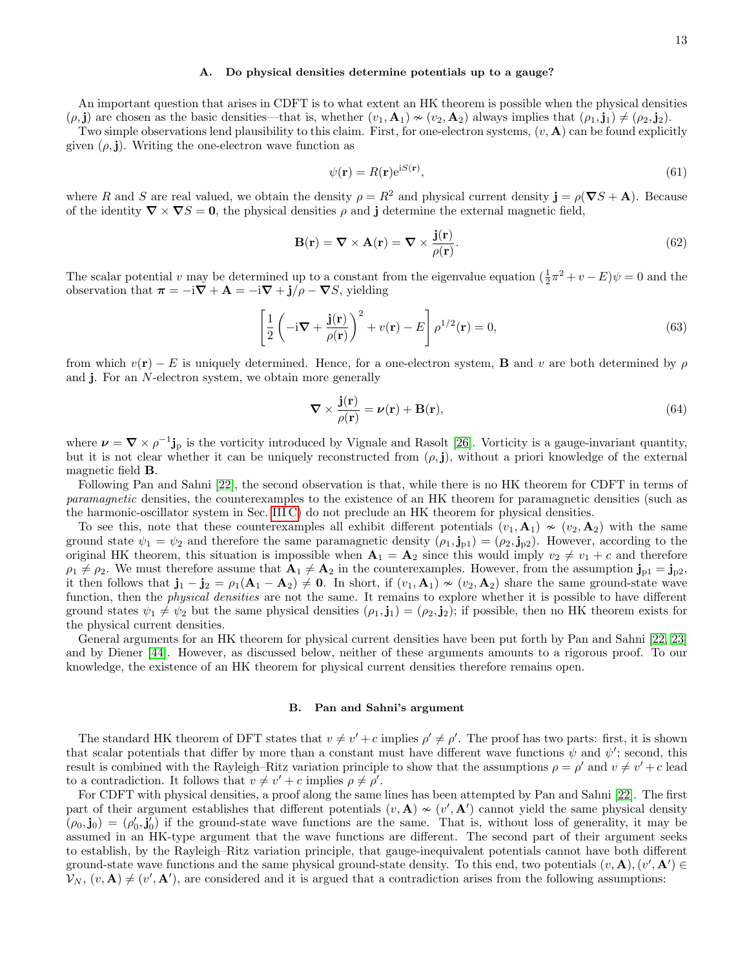### A. Do physical densities determine potentials up to a gauge?

An important question that arises in CDFT is to what extent an HK theorem is possible when the physical densities  $(\rho, j)$  are chosen as the basic densities—that is, whether  $(v_1, \mathbf{A}_1) \nsim (v_2, \mathbf{A}_2)$  always implies that  $(\rho_1, j_1) \neq (\rho_2, j_2)$ .

Two simple observations lend plausibility to this claim. First, for one-electron systems,  $(v, A)$  can be found explicitly given  $(\rho, \mathbf{j})$ . Writing the one-electron wave function as

$$
\psi(\mathbf{r}) = R(\mathbf{r})e^{iS(\mathbf{r})},\tag{61}
$$

where R and S are real valued, we obtain the density  $\rho = R^2$  and physical current density  $\mathbf{j} = \rho(\nabla S + \mathbf{A})$ . Because of the identity  $\nabla \times \nabla S = 0$ , the physical densities  $\rho$  and j determine the external magnetic field,

$$
\mathbf{B}(\mathbf{r}) = \nabla \times \mathbf{A}(\mathbf{r}) = \nabla \times \frac{\mathbf{j}(\mathbf{r})}{\rho(\mathbf{r})}.
$$
 (62)

The scalar potential v may be determined up to a constant from the eigenvalue equation  $(\frac{1}{2}\pi^2 + v - E)\psi = 0$  and the observation that  $\pi = -i\nabla + \mathbf{A} = -i\nabla + \mathbf{j}/\rho - \nabla S$ , yielding

$$
\left[\frac{1}{2}\left(-i\nabla + \frac{\mathbf{j}(\mathbf{r})}{\rho(\mathbf{r})}\right)^2 + v(\mathbf{r}) - E\right]\rho^{1/2}(\mathbf{r}) = 0,
$$
\n(63)

from which  $v(\mathbf{r}) - E$  is uniquely determined. Hence, for a one-electron system, **B** and v are both determined by  $\rho$ and j. For an N-electron system, we obtain more generally

$$
\nabla \times \frac{\mathbf{j}(\mathbf{r})}{\rho(\mathbf{r})} = \nu(\mathbf{r}) + \mathbf{B}(\mathbf{r}),\tag{64}
$$

where  $\nu = \nabla \times \rho^{-1}$  is the vorticity introduced by Vignale and Rasolt [\[26\]](#page-18-7). Vorticity is a gauge-invariant quantity, but it is not clear whether it can be uniquely reconstructed from  $(\rho, \mathbf{j})$ , without a priori knowledge of the external magnetic field B.

Following Pan and Sahni [\[22\]](#page-18-5), the second observation is that, while there is no HK theorem for CDFT in terms of paramagnetic densities, the counterexamples to the existence of an HK theorem for paramagnetic densities (such as the harmonic-oscillator system in Sec. [III C\)](#page-4-0) do not preclude an HK theorem for physical densities.

To see this, note that these counterexamples all exhibit different potentials  $(v_1, \mathbf{A}_1) \sim (v_2, \mathbf{A}_2)$  with the same ground state  $\psi_1 = \psi_2$  and therefore the same paramagnetic density  $(\rho_1, j_{p1}) = (\rho_2, j_{p2})$ . However, according to the original HK theorem, this situation is impossible when  $A_1 = A_2$  since this would imply  $v_2 \neq v_1 + c$  and therefore  $\rho_1 \neq \rho_2$ . We must therefore assume that  $\mathbf{A}_1 \neq \mathbf{A}_2$  in the counterexamples. However, from the assumption  $\mathbf{j}_{p1} = \mathbf{j}_{p2}$ , it then follows that  $\mathbf{j}_1 - \mathbf{j}_2 = \rho_1(\mathbf{A}_1 - \mathbf{A}_2) \neq \mathbf{0}$ . In short, if  $(v_1, \mathbf{A}_1) \nsim (v_2, \mathbf{A}_2)$  share the same ground-state wave function, then the physical densities are not the same. It remains to explore whether it is possible to have different ground states  $\psi_1 \neq \psi_2$  but the same physical densities  $(\rho_1, \mathbf{j}_1) = (\rho_2, \mathbf{j}_2)$ ; if possible, then no HK theorem exists for the physical current densities.

General arguments for an HK theorem for physical current densities have been put forth by Pan and Sahni [\[22,](#page-18-5) [23\]](#page-18-23) and by Diener [\[44\]](#page-18-16). However, as discussed below, neither of these arguments amounts to a rigorous proof. To our knowledge, the existence of an HK theorem for physical current densities therefore remains open.

## B. Pan and Sahni's argument

The standard HK theorem of DFT states that  $v \neq v' + c$  implies  $\rho' \neq \rho'$ . The proof has two parts: first, it is shown that scalar potentials that differ by more than a constant must have different wave functions  $\psi$  and  $\psi'$ ; second, this result is combined with the Rayleigh–Ritz variation principle to show that the assumptions  $\rho = \rho'$  and  $v \neq v' + c$  lead to a contradiction. It follows that  $v \neq v' + c$  implies  $\rho \neq \rho'$ .

For CDFT with physical densities, a proof along the same lines has been attempted by Pan and Sahni [\[22\]](#page-18-5). The first part of their argument establishes that different potentials  $(v, A) \nsim (v', A')$  cannot yield the same physical density  $(\rho_0, \mathbf{j}_0) = (\rho'_0, \mathbf{j}'_0)$  if the ground-state wave functions are the same. That is, without loss of generality, it may be assumed in an HK-type argument that the wave functions are different. The second part of their argument seeks to establish, by the Rayleigh–Ritz variation principle, that gauge-inequivalent potentials cannot have both different ground-state wave functions and the same physical ground-state density. To this end, two potentials  $(v, \mathbf{A}), (v', \mathbf{A}') \in$  $V_N$ ,  $(v, A) \neq (v', A')$ , are considered and it is argued that a contradiction arises from the following assumptions: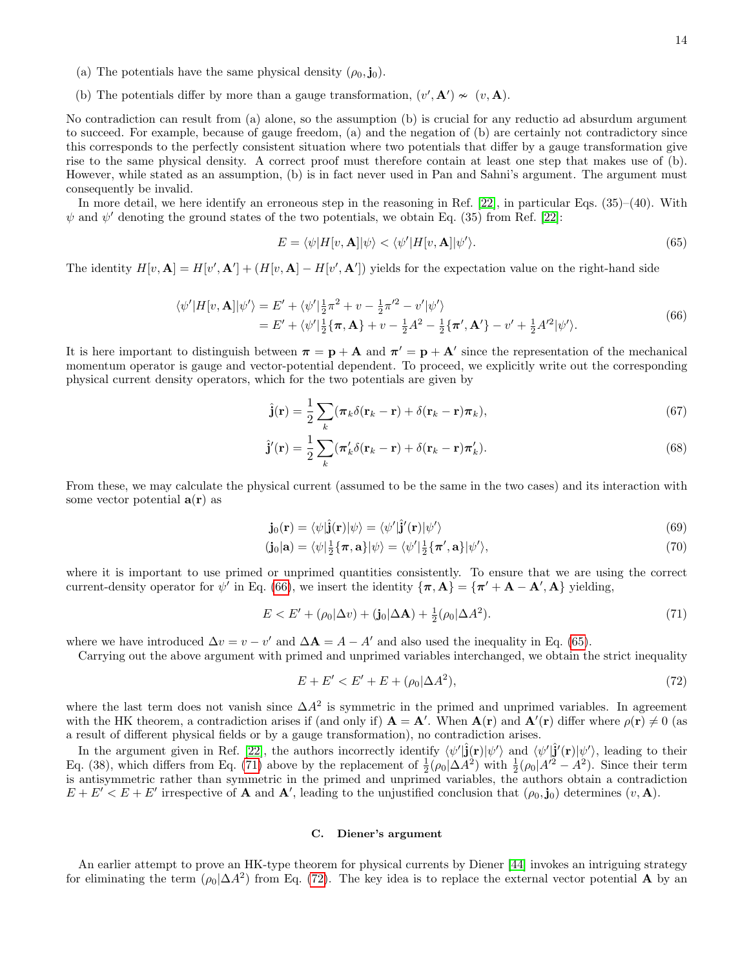- (a) The potentials have the same physical density  $(\rho_0, \mathbf{j}_0)$ .
- (b) The potentials differ by more than a gauge transformation,  $(v', A') \nsim (v, A)$ .

No contradiction can result from (a) alone, so the assumption (b) is crucial for any reductio ad absurdum argument to succeed. For example, because of gauge freedom, (a) and the negation of (b) are certainly not contradictory since this corresponds to the perfectly consistent situation where two potentials that differ by a gauge transformation give rise to the same physical density. A correct proof must therefore contain at least one step that makes use of (b). However, while stated as an assumption, (b) is in fact never used in Pan and Sahni's argument. The argument must consequently be invalid.

In more detail, we here identify an erroneous step in the reasoning in Ref. [\[22\]](#page-18-5), in particular Eqs. (35)–(40). With  $\psi$  and  $\psi'$  denoting the ground states of the two potentials, we obtain Eq. (35) from Ref. [\[22\]](#page-18-5):

<span id="page-13-1"></span>
$$
E = \langle \psi | H[v, \mathbf{A}] | \psi \rangle < \langle \psi' | H[v, \mathbf{A}] | \psi' \rangle. \tag{65}
$$

The identity  $H[v, \mathbf{A}] = H[v', \mathbf{A}'] + (H[v, \mathbf{A}] - H[v', \mathbf{A}'])$  yields for the expectation value on the right-hand side

$$
\langle \psi' | H[v, \mathbf{A}] | \psi' \rangle = E' + \langle \psi' | \frac{1}{2} \pi^2 + v - \frac{1}{2} \pi'^2 - v' | \psi' \rangle = E' + \langle \psi' | \frac{1}{2} \{ \pi, \mathbf{A} \} + v - \frac{1}{2} A^2 - \frac{1}{2} \{ \pi', \mathbf{A}' \} - v' + \frac{1}{2} A'^2 | \psi' \rangle.
$$
(66)

<span id="page-13-0"></span>It is here important to distinguish between  $\pi = \mathbf{p} + \mathbf{A}$  and  $\pi' = \mathbf{p} + \mathbf{A}'$  since the representation of the mechanical momentum operator is gauge and vector-potential dependent. To proceed, we explicitly write out the corresponding physical current density operators, which for the two potentials are given by

$$
\hat{\mathbf{j}}(\mathbf{r}) = \frac{1}{2} \sum_{k} (\pi_k \delta(\mathbf{r}_k - \mathbf{r}) + \delta(\mathbf{r}_k - \mathbf{r}) \pi_k), \tag{67}
$$

$$
\hat{\mathbf{j}}'(\mathbf{r}) = \frac{1}{2} \sum_{k} (\pi'_{k} \delta(\mathbf{r}_{k} - \mathbf{r}) + \delta(\mathbf{r}_{k} - \mathbf{r}) \pi'_{k}).
$$
\n(68)

From these, we may calculate the physical current (assumed to be the same in the two cases) and its interaction with some vector potential  $a(r)$  as

$$
\mathbf{j}_0(\mathbf{r}) = \langle \psi | \hat{\mathbf{j}}(\mathbf{r}) | \psi \rangle = \langle \psi' | \hat{\mathbf{j}}'(\mathbf{r}) | \psi' \rangle \tag{69}
$$

$$
(\mathbf{j}_0|\mathbf{a}) = \langle \psi | \frac{1}{2} \{\boldsymbol{\pi}, \mathbf{a}\} | \psi \rangle = \langle \psi' | \frac{1}{2} \{\boldsymbol{\pi}', \mathbf{a}\} | \psi' \rangle, \tag{70}
$$

where it is important to use primed or unprimed quantities consistently. To ensure that we are using the correct current-density operator for  $\psi'$  in Eq. [\(66\)](#page-13-0), we insert the identity  $\{\pi, A\} = \{\pi' + A - A', A\}$  yielding,

$$
E < E' + (\rho_0|\Delta v) + (\mathbf{j}_0|\Delta \mathbf{A}) + \frac{1}{2}(\rho_0|\Delta A^2). \tag{71}
$$

<span id="page-13-2"></span>where we have introduced  $\Delta v = v - v'$  and  $\Delta \mathbf{A} = A - A'$  and also used the inequality in Eq. [\(65\)](#page-13-1).

Carrying out the above argument with primed and unprimed variables interchanged, we obtain the strict inequality

<span id="page-13-3"></span>
$$
E + E' < E' + E + (\rho_0 | \Delta A^2),\tag{72}
$$

where the last term does not vanish since  $\Delta A^2$  is symmetric in the primed and unprimed variables. In agreement with the HK theorem, a contradiction arises if (and only if)  $A = A'$ . When  $A(r)$  and  $A'(r)$  differ where  $\rho(r) \neq 0$  (as a result of different physical fields or by a gauge transformation), no contradiction arises.

In the argument given in Ref. [\[22\]](#page-18-5), the authors incorrectly identify  $\langle \psi'|\hat{\mathbf{j}}(\mathbf{r})|\psi'\rangle$  and  $\langle \psi'|\hat{\mathbf{j}}'(\mathbf{r})|\psi'\rangle$ , leading to their Eq. (38), which differs from Eq. [\(71\)](#page-13-2) above by the replacement of  $\frac{1}{2}(\rho_0|\Delta A^2)$  with  $\frac{1}{2}(\rho_0|A'^2 - A^2)$ . Since their term is antisymmetric rather than symmetric in the primed and unprimed variables, the authors obtain a contradiction  $E + E' < E + E'$  irrespective of **A** and **A'**, leading to the unjustified conclusion that  $(\rho_0, \mathbf{j}_0)$  determines  $(v, \mathbf{A})$ .

## C. Diener's argument

An earlier attempt to prove an HK-type theorem for physical currents by Diener [\[44\]](#page-18-16) invokes an intriguing strategy for eliminating the term  $(\rho_0|\Delta A^2)$  from Eq. [\(72\)](#page-13-3). The key idea is to replace the external vector potential **A** by an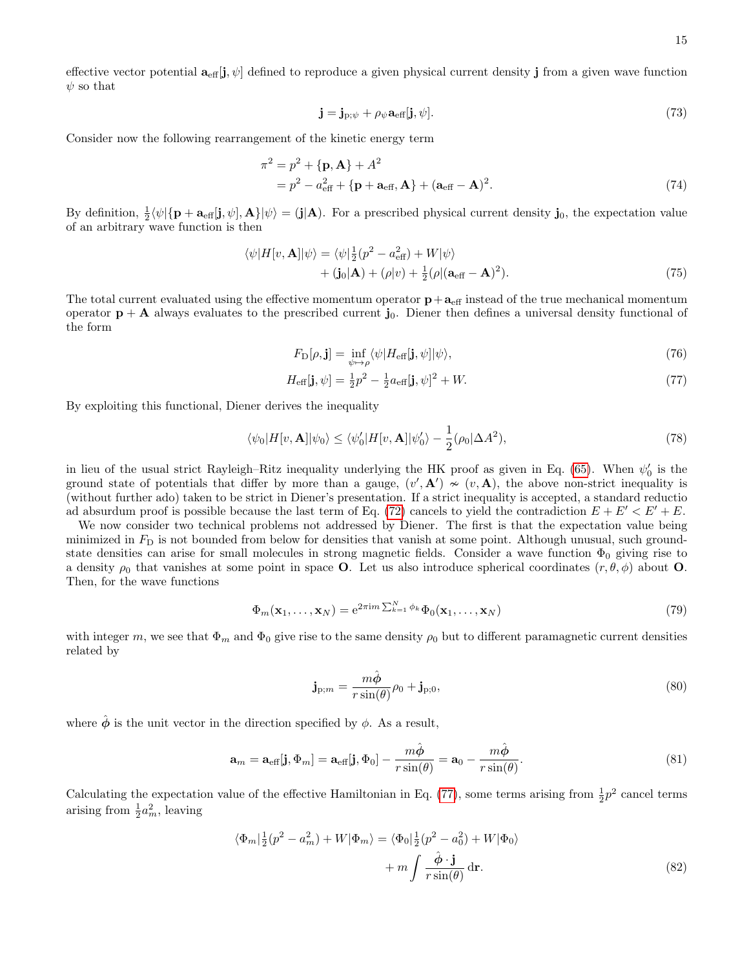effective vector potential  $\mathbf{a}_{\text{eff}}[j, \psi]$  defined to reproduce a given physical current density j from a given wave function  $\psi$  so that

$$
\mathbf{j} = \mathbf{j}_{\mathrm{p};\psi} + \rho_{\psi} \mathbf{a}_{\mathrm{eff}}[\mathbf{j}, \psi]. \tag{73}
$$

Consider now the following rearrangement of the kinetic energy term

$$
\pi^2 = p^2 + {\mathbf{p}, \mathbf{A}} + A^2
$$
  
=  $p^2 - a_{\text{eff}}^2 + {\mathbf{p} + \mathbf{a}_{\text{eff}}}, \mathbf{A} + (\mathbf{a}_{\text{eff}} - \mathbf{A})^2.$  (74)

By definition,  $\frac{1}{2} \langle \psi | {\bf p} + {\bf a}_{\text{eff}}[{\bf j}, \psi], {\bf A} \rangle | \psi \rangle = (j | {\bf A})$ . For a prescribed physical current density  ${\bf j}_0$ , the expectation value of an arbitrary wave function is then

$$
\langle \psi | H[v, \mathbf{A}] | \psi \rangle = \langle \psi | \frac{1}{2} (p^2 - a_{\text{eff}}^2) + W | \psi \rangle + \langle \mathbf{j}_0 | \mathbf{A} \rangle + (\rho | v) + \frac{1}{2} (\rho | (\mathbf{a}_{\text{eff}} - \mathbf{A})^2).
$$
 (75)

The total current evaluated using the effective momentum operator  $p + a_{\text{eff}}$  instead of the true mechanical momentum operator  $\mathbf{p} + \mathbf{A}$  always evaluates to the prescribed current j<sub>0</sub>. Diener then defines a universal density functional of the form

<span id="page-14-0"></span>
$$
F_{\mathcal{D}}[\rho, \mathbf{j}] = \inf_{\psi \mapsto \rho} \langle \psi | H_{\text{eff}}[\mathbf{j}, \psi] | \psi \rangle,\tag{76}
$$

$$
H_{\text{eff}}[\mathbf{j}, \psi] = \frac{1}{2}p^2 - \frac{1}{2}a_{\text{eff}}[\mathbf{j}, \psi]^2 + W. \tag{77}
$$

By exploiting this functional, Diener derives the inequality

<span id="page-14-1"></span>
$$
\langle \psi_0 | H[v, \mathbf{A}] | \psi_0 \rangle \le \langle \psi'_0 | H[v, \mathbf{A}] | \psi'_0 \rangle - \frac{1}{2} (\rho_0 | \Delta A^2), \tag{78}
$$

in lieu of the usual strict Rayleigh–Ritz inequality underlying the HK proof as given in Eq. [\(65\)](#page-13-1). When  $\psi_0'$  is the ground state of potentials that differ by more than a gauge,  $(v', A') \sim (v, A)$ , the above non-strict inequality is (without further ado) taken to be strict in Diener's presentation. If a strict inequality is accepted, a standard reductio ad absurdum proof is possible because the last term of Eq. [\(72\)](#page-13-3) cancels to yield the contradiction  $E + E' < E' + E$ .

We now consider two technical problems not addressed by Diener. The first is that the expectation value being minimized in  $F<sub>D</sub>$  is not bounded from below for densities that vanish at some point. Although unusual, such groundstate densities can arise for small molecules in strong magnetic fields. Consider a wave function  $\Phi_0$  giving rise to a density  $\rho_0$  that vanishes at some point in space **O**. Let us also introduce spherical coordinates  $(r, \theta, \phi)$  about **O**. Then, for the wave functions

$$
\Phi_m(\mathbf{x}_1,\ldots,\mathbf{x}_N) = e^{2\pi i m \sum_{k=1}^N \phi_k} \Phi_0(\mathbf{x}_1,\ldots,\mathbf{x}_N)
$$
\n(79)

with integer m, we see that  $\Phi_m$  and  $\Phi_0$  give rise to the same density  $\rho_0$  but to different paramagnetic current densities related by

$$
\mathbf{j}_{p;m} = \frac{m\hat{\boldsymbol{\phi}}}{r\sin(\theta)}\rho_0 + \mathbf{j}_{p;0},\tag{80}
$$

where  $\hat{\phi}$  is the unit vector in the direction specified by  $\phi$ . As a result,

$$
\mathbf{a}_{m} = \mathbf{a}_{\text{eff}}[\mathbf{j}, \Phi_{m}] = \mathbf{a}_{\text{eff}}[\mathbf{j}, \Phi_{0}] - \frac{m\hat{\phi}}{r\sin(\theta)} = \mathbf{a}_{0} - \frac{m\hat{\phi}}{r\sin(\theta)}.
$$
\n(81)

Calculating the expectation value of the effective Hamiltonian in Eq. [\(77\)](#page-14-0), some terms arising from  $\frac{1}{2}p^2$  cancel terms arising from  $\frac{1}{2}a_m^2$ , leaving

$$
\langle \Phi_m | \frac{1}{2} (p^2 - a_m^2) + W | \Phi_m \rangle = \langle \Phi_0 | \frac{1}{2} (p^2 - a_0^2) + W | \Phi_0 \rangle
$$

$$
+ m \int \frac{\hat{\phi} \cdot \mathbf{j}}{r \sin(\theta)} \, \mathrm{d}\mathbf{r}.
$$
 (82)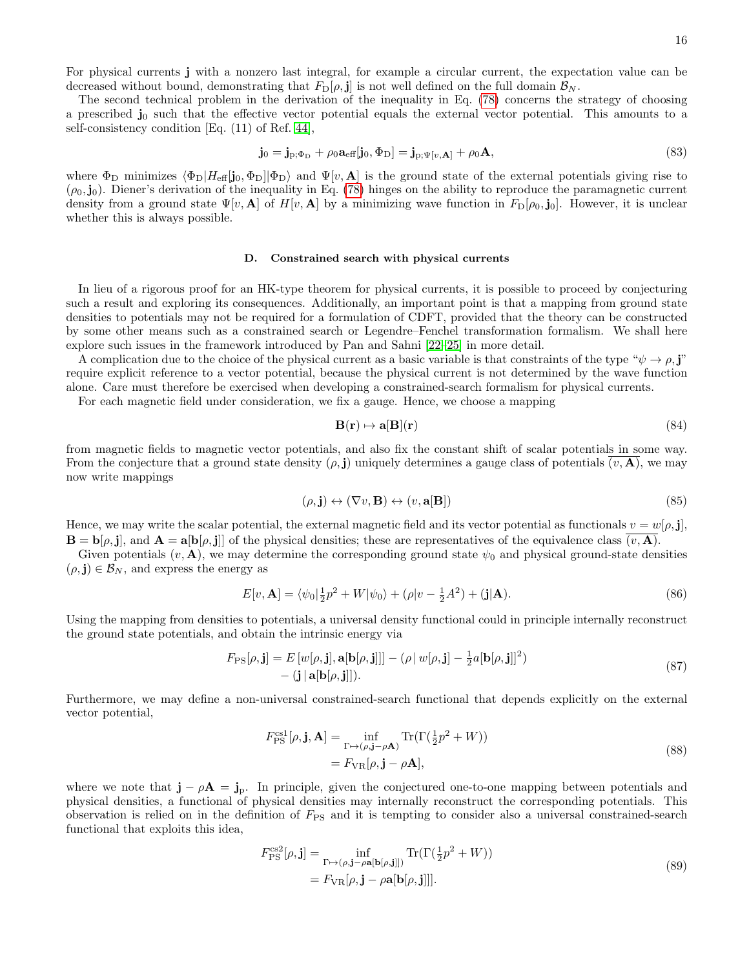For physical currents j with a nonzero last integral, for example a circular current, the expectation value can be decreased without bound, demonstrating that  $F_{\text{D}}[\rho, \mathbf{j}]$  is not well defined on the full domain  $\mathcal{B}_N$ .

The second technical problem in the derivation of the inequality in Eq. [\(78\)](#page-14-1) concerns the strategy of choosing a prescribed  $\mathbf{j}_0$  such that the effective vector potential equals the external vector potential. This amounts to a self-consistency condition [Eq. (11) of Ref. [44\]](#page-18-16),

$$
\mathbf{j}_0 = \mathbf{j}_{\mathrm{p};\Phi_{\mathrm{D}}} + \rho_0 \mathbf{a}_{\mathrm{eff}}[\mathbf{j}_0, \Phi_{\mathrm{D}}] = \mathbf{j}_{\mathrm{p};\Psi[\boldsymbol{v},\mathbf{A}]} + \rho_0 \mathbf{A},\tag{83}
$$

where  $\Phi_{\rm D}$  minimizes  $\langle \Phi_{\rm D} | H_{\rm eff}[\mathbf{j}_0, \Phi_{\rm D}] | \Phi_{\rm D} \rangle$  and  $\Psi[v, \mathbf{A}]$  is the ground state of the external potentials giving rise to  $(\rho_0, j_0)$ . Diener's derivation of the inequality in Eq. [\(78\)](#page-14-1) hinges on the ability to reproduce the paramagnetic current density from a ground state  $\Psi[v, \mathbf{A}]$  of  $H[v, \mathbf{A}]$  by a minimizing wave function in  $F_{\mathcal{D}}[\rho_0, \mathbf{j}_0]$ . However, it is unclear whether this is always possible.

#### D. Constrained search with physical currents

In lieu of a rigorous proof for an HK-type theorem for physical currents, it is possible to proceed by conjecturing such a result and exploring its consequences. Additionally, an important point is that a mapping from ground state densities to potentials may not be required for a formulation of CDFT, provided that the theory can be constructed by some other means such as a constrained search or Legendre–Fenchel transformation formalism. We shall here explore such issues in the framework introduced by Pan and Sahni [\[22–](#page-18-5)[25\]](#page-18-6) in more detail.

A complication due to the choice of the physical current as a basic variable is that constraints of the type " $\psi \to \rho$ ,j" require explicit reference to a vector potential, because the physical current is not determined by the wave function alone. Care must therefore be exercised when developing a constrained-search formalism for physical currents.

For each magnetic field under consideration, we fix a gauge. Hence, we choose a mapping

$$
\mathbf{B}(\mathbf{r}) \mapsto \mathbf{a}[\mathbf{B}](\mathbf{r}) \tag{84}
$$

from magnetic fields to magnetic vector potentials, and also fix the constant shift of scalar potentials in some way. From the conjecture that a ground state density  $(\rho, \mathbf{j})$  uniquely determines a gauge class of potentials  $(v, \mathbf{A})$ , we may now write mappings

$$
(\rho, \mathbf{j}) \leftrightarrow (\nabla v, \mathbf{B}) \leftrightarrow (v, \mathbf{a}[\mathbf{B}])
$$
\n(85)

Hence, we may write the scalar potential, the external magnetic field and its vector potential as functionals  $v = w[\rho, j]$ ,  $\mathbf{B} = \mathbf{b}[\rho, \mathbf{j}]$ , and  $\mathbf{A} = \mathbf{a}[\mathbf{b}[\rho, \mathbf{j}]$  of the physical densities; these are representatives of the equivalence class  $(v, \mathbf{A})$ .

Given potentials  $(v, \mathbf{A})$ , we may determine the corresponding ground state  $\psi_0$  and physical ground-state densities  $(\rho, \mathbf{j}) \in \mathcal{B}_N$ , and express the energy as

$$
E[v, \mathbf{A}] = \langle \psi_0 | \frac{1}{2} p^2 + W | \psi_0 \rangle + (\rho | v - \frac{1}{2} A^2) + (\mathbf{j} | \mathbf{A}). \tag{86}
$$

Using the mapping from densities to potentials, a universal density functional could in principle internally reconstruct the ground state potentials, and obtain the intrinsic energy via

$$
F_{\text{PS}}[\rho, \mathbf{j}] = E\left[w[\rho, \mathbf{j}], \mathbf{a}[\mathbf{b}[\rho, \mathbf{j}]]\right] - (\rho \, | \, w[\rho, \mathbf{j}] - \frac{1}{2}a[\mathbf{b}[\rho, \mathbf{j}]]^2) - (\mathbf{j} \, | \, \mathbf{a}[\mathbf{b}[\rho, \mathbf{j}]]).
$$
\n(87)

Furthermore, we may define a non-universal constrained-search functional that depends explicitly on the external vector potential,

$$
F_{\rm PS}^{\rm cs1}[\rho, \mathbf{j}, \mathbf{A}] = \inf_{\Gamma \mapsto (\rho, \mathbf{j} - \rho \mathbf{A})} \text{Tr}(\Gamma(\frac{1}{2}p^2 + W))
$$
  
=  $F_{\rm VR}[\rho, \mathbf{j} - \rho \mathbf{A}],$  (88)

where we note that  $\mathbf{j} - \rho \mathbf{A} = \mathbf{j}_p$ . In principle, given the conjectured one-to-one mapping between potentials and physical densities, a functional of physical densities may internally reconstruct the corresponding potentials. This observation is relied on in the definition of  $F_{PS}$  and it is tempting to consider also a universal constrained-search functional that exploits this idea,

$$
F_{\rm PS}^{\rm cs2}[\rho, \mathbf{j}] = \inf_{\Gamma \mapsto (\rho, \mathbf{j} - \rho \mathbf{a}[\mathbf{b}[\rho, \mathbf{j}]])} \text{Tr}(\Gamma(\frac{1}{2}p^2 + W))
$$
  
=  $F_{\rm VR}[\rho, \mathbf{j} - \rho \mathbf{a}[\mathbf{b}[\rho, \mathbf{j}]]].$  (89)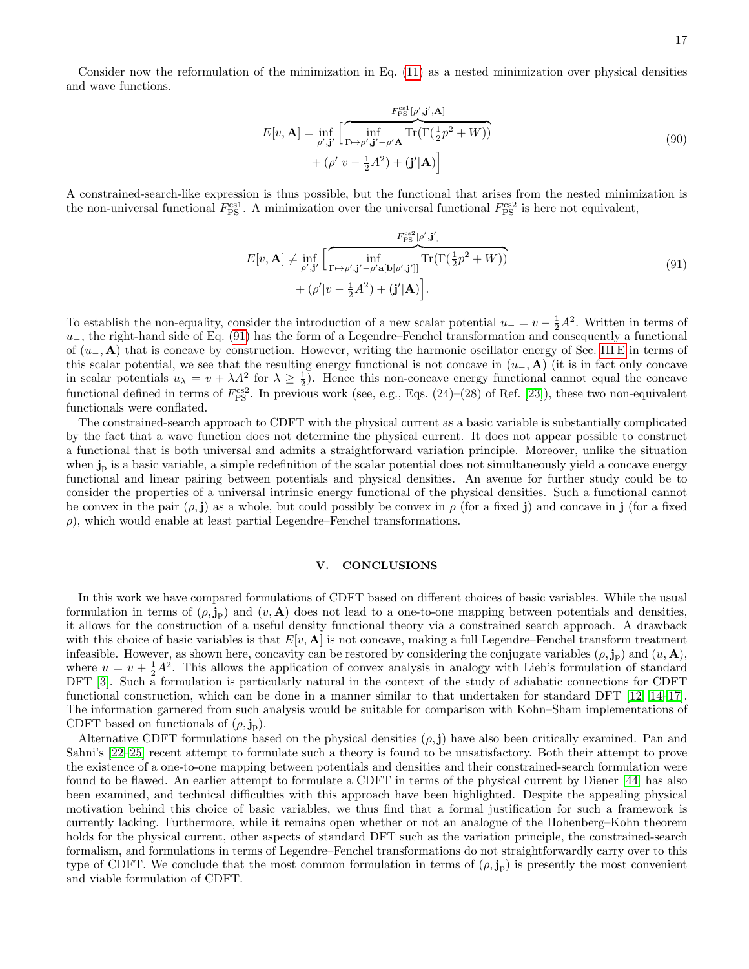Consider now the reformulation of the minimization in Eq. [\(11\)](#page-3-2) as a nested minimization over physical densities and wave functions.

$$
E[v, \mathbf{A}] = \inf_{\rho', \mathbf{j}'} \left[ \overbrace{\inf_{\Gamma \mapsto \rho', \mathbf{j}' - \rho' \mathbf{A}} \text{Tr}(\Gamma(\frac{1}{2}p^2 + W))}^{\text{Fes1}[\rho', \mathbf{j}', \mathbf{A}]} \right]
$$
\n
$$
+ (\rho'|v - \frac{1}{2}A^2) + (\mathbf{j}'|\mathbf{A}) \right]
$$
\n(90)

A constrained-search-like expression is thus possible, but the functional that arises from the nested minimization is the non-universal functional  $F_{\rm PS}^{\rm cs1}$ . A minimization over the universal functional  $F_{\rm PS}^{\rm cs2}$  is here not equivalent,

$$
E[v, \mathbf{A}] \neq \inf_{\rho', \mathbf{j}'} \left[ \overbrace{\inf_{\Gamma \mapsto \rho', \mathbf{j}' - \rho' \mathbf{a} [\mathbf{b}[\rho', \mathbf{j}'] \right]}}^{\text{Ffss2}} \text{Tr}(\Gamma(\frac{1}{2}p^2 + W)) + (\rho' | v - \frac{1}{2}A^2) + (\mathbf{j}' | \mathbf{A}) \right]. \tag{91}
$$

<span id="page-16-1"></span>To establish the non-equality, consider the introduction of a new scalar potential  $u = v - \frac{1}{2}A^2$ . Written in terms of  $u_-,$  the right-hand side of Eq. [\(91\)](#page-16-1) has the form of a Legendre–Fenchel transformation and consequently a functional of  $(u_-, A)$  that is concave by construction. However, writing the harmonic oscillator energy of Sec. [III E](#page-6-0) in terms of this scalar potential, we see that the resulting energy functional is not concave in  $(u_-, A)$  (it is in fact only concave in scalar potentials  $u_{\lambda} = v + \lambda A^2$  for  $\lambda \ge \frac{1}{2}$ . Hence this non-concave energy functional cannot equal the concave functional defined in terms of  $F_{\rm PS}^{\rm cs2}$ . In previous work (see, e.g., Eqs. (24)–(28) of Ref. [\[23\]](#page-18-23)), these two non-equivalent functionals were conflated.

The constrained-search approach to CDFT with the physical current as a basic variable is substantially complicated by the fact that a wave function does not determine the physical current. It does not appear possible to construct a functional that is both universal and admits a straightforward variation principle. Moreover, unlike the situation when  $\mathbf{j}_p$  is a basic variable, a simple redefinition of the scalar potential does not simultaneously yield a concave energy functional and linear pairing between potentials and physical densities. An avenue for further study could be to consider the properties of a universal intrinsic energy functional of the physical densities. Such a functional cannot be convex in the pair  $(\rho, \mathbf{i})$  as a whole, but could possibly be convex in  $\rho$  (for a fixed i) and concave in j (for a fixed  $\rho$ ), which would enable at least partial Legendre–Fenchel transformations.

## <span id="page-16-0"></span>V. CONCLUSIONS

In this work we have compared formulations of CDFT based on different choices of basic variables. While the usual formulation in terms of  $(\rho, j_p)$  and  $(v, A)$  does not lead to a one-to-one mapping between potentials and densities, it allows for the construction of a useful density functional theory via a constrained search approach. A drawback with this choice of basic variables is that  $E[v, A]$  is not concave, making a full Legendre–Fenchel transform treatment infeasible. However, as shown here, concavity can be restored by considering the conjugate variables  $(\rho, \mathbf{j}_p)$  and  $(u, \mathbf{A})$ , where  $u = v + \frac{1}{2}A^2$ . This allows the application of convex analysis in analogy with Lieb's formulation of standard DFT [\[3\]](#page-17-2). Such a formulation is particularly natural in the context of the study of adiabatic connections for CDFT functional construction, which can be done in a manner similar to that undertaken for standard DFT [\[12,](#page-17-7) [14–](#page-17-8)[17\]](#page-18-0). The information garnered from such analysis would be suitable for comparison with Kohn–Sham implementations of CDFT based on functionals of  $(\rho, \mathbf{j}_p)$ .

Alternative CDFT formulations based on the physical densities  $(\rho, j)$  have also been critically examined. Pan and Sahni's [\[22](#page-18-5)[–25\]](#page-18-6) recent attempt to formulate such a theory is found to be unsatisfactory. Both their attempt to prove the existence of a one-to-one mapping between potentials and densities and their constrained-search formulation were found to be flawed. An earlier attempt to formulate a CDFT in terms of the physical current by Diener [\[44\]](#page-18-16) has also been examined, and technical difficulties with this approach have been highlighted. Despite the appealing physical motivation behind this choice of basic variables, we thus find that a formal justification for such a framework is currently lacking. Furthermore, while it remains open whether or not an analogue of the Hohenberg–Kohn theorem holds for the physical current, other aspects of standard DFT such as the variation principle, the constrained-search formalism, and formulations in terms of Legendre–Fenchel transformations do not straightforwardly carry over to this type of CDFT. We conclude that the most common formulation in terms of  $(\rho, j_p)$  is presently the most convenient and viable formulation of CDFT.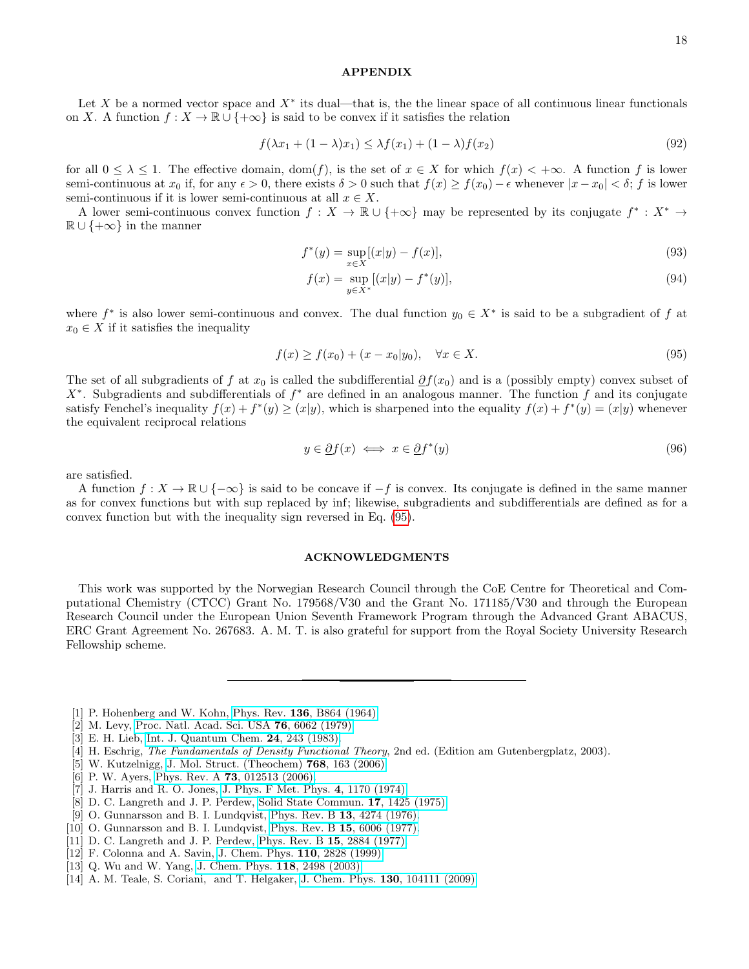### APPENDIX

Let X be a normed vector space and  $X^*$  its dual—that is, the the linear space of all continuous linear functionals on X. A function  $f: X \to \mathbb{R} \cup \{+\infty\}$  is said to be convex if it satisfies the relation

$$
f(\lambda x_1 + (1 - \lambda)x_1) \le \lambda f(x_1) + (1 - \lambda)f(x_2)
$$
\n(92)

for all  $0 \leq \lambda \leq 1$ . The effective domain,  $dom(f)$ , is the set of  $x \in X$  for which  $f(x) < +\infty$ . A function f is lower semi-continuous at  $x_0$  if, for any  $\epsilon > 0$ , there exists  $\delta > 0$  such that  $f(x) \ge f(x_0) - \epsilon$  whenever  $|x - x_0| < \delta$ ; f is lower semi-continuous if it is lower semi-continuous at all  $x \in X$ .

A lower semi-continuous convex function  $f: X \to \mathbb{R} \cup \{+\infty\}$  may be represented by its conjugate  $f^* : X^* \to$  $\mathbb{R} \cup \{+\infty\}$  in the manner

$$
f^*(y) = \sup_{x \in X} [(x|y) - f(x)], \tag{93}
$$

$$
f(x) = \sup_{y \in X^*} [(x|y) - f^*(y)], \tag{94}
$$

where  $f^*$  is also lower semi-continuous and convex. The dual function  $y_0 \in X^*$  is said to be a subgradient of f at  $x_0 \in X$  if it satisfies the inequality

<span id="page-17-10"></span>
$$
f(x) \ge f(x_0) + (x - x_0|y_0), \quad \forall x \in X.
$$
\n(95)

The set of all subgradients of f at  $x_0$  is called the subdifferential  $\partial f(x_0)$  and is a (possibly empty) convex subset of  $X^*$ . Subgradients and subdifferentials of  $f^*$  are defined in an analogous manner. The function f and its conjugate satisfy Fenchel's inequality  $f(x) + f^*(y) \ge (x|y)$ , which is sharpened into the equality  $f(x) + f^*(y) = (x|y)$  whenever the equivalent reciprocal relations

$$
y \in \underline{\partial}f(x) \iff x \in \underline{\partial}f^*(y) \tag{96}
$$

are satisfied.

A function  $f: X \to \mathbb{R} \cup \{-\infty\}$  is said to be concave if  $-f$  is convex. Its conjugate is defined in the same manner as for convex functions but with sup replaced by inf; likewise, subgradients and subdifferentials are defined as for a convex function but with the inequality sign reversed in Eq. [\(95\)](#page-17-10).

#### ACKNOWLEDGMENTS

This work was supported by the Norwegian Research Council through the CoE Centre for Theoretical and Computational Chemistry (CTCC) Grant No. 179568/V30 and the Grant No. 171185/V30 and through the European Research Council under the European Union Seventh Framework Program through the Advanced Grant ABACUS, ERC Grant Agreement No. 267683. A. M. T. is also grateful for support from the Royal Society University Research Fellowship scheme.

- <span id="page-17-0"></span>[1] P. Hohenberg and W. Kohn, Phys. Rev. 136[, B864 \(1964\).](http://dx.doi.org/10.1103/PhysRev.136.B864)
- <span id="page-17-1"></span>[2] M. Levy, [Proc. Natl. Acad. Sci. USA](http://dx.doi.org/10.1073/pnas.76.12.6062) 76, 6062 (1979).
- <span id="page-17-2"></span>[3] E. H. Lieb, [Int. J. Quantum Chem.](http://dx.doi.org/10.1002/qua.560240302) 24, 243 (1983).
- <span id="page-17-3"></span>[4] H. Eschrig, The Fundamentals of Density Functional Theory, 2nd ed. (Edition am Gutenbergplatz, 2003).
- [5] W. Kutzelnigg, [J. Mol. Struct. \(Theochem\)](http://dx.doi.org/10.1016/j.theochem.2006.05.012) 768, 163 (2006).
- <span id="page-17-4"></span>[6] P. W. Ayers, Phys. Rev. A **73**[, 012513 \(2006\).](http://dx.doi.org/10.1103/PhysRevA.73.012513)
- <span id="page-17-5"></span>[7] J. Harris and R. O. Jones, [J. Phys. F Met. Phys.](http://dx.doi.org/10.1088/0305-4608/4/8/013) 4, 1170 (1974).
- [8] D. C. Langreth and J. P. Perdew, [Solid State Commun.](http://dx.doi.org/10.1016/0038-1098(75)90618-3) 17, 1425 (1975).
- [9] O. Gunnarsson and B. I. Lundqvist, [Phys. Rev. B](http://dx.doi.org/10.1103/PhysRevB.13.4274) 13, 4274 (1976).
- [10] O. Gunnarsson and B. I. Lundqvist, [Phys. Rev. B](http://dx.doi.org/10.1103/PhysRevB.15.6006.3) 15, 6006 (1977).
- <span id="page-17-6"></span>[11] D. C. Langreth and J. P. Perdew, [Phys. Rev. B](http://dx.doi.org/10.1103/PhysRevB.15.2884) 15, 2884 (1977).
- <span id="page-17-7"></span>[12] F. Colonna and A. Savin, [J. Chem. Phys.](http://dx.doi.org/10.1063/1.478234) **110**, 2828 (1999).
- <span id="page-17-9"></span>[13] Q. Wu and W. Yang, [J. Chem. Phys.](http://dx.doi.org/10.1063/1.1535422) 118, 2498 (2003).
- <span id="page-17-8"></span>[14] A. M. Teale, S. Coriani, and T. Helgaker, J. Chem. Phys. 130[, 104111 \(2009\).](http://dx.doi.org/10.1063/1.3082285)